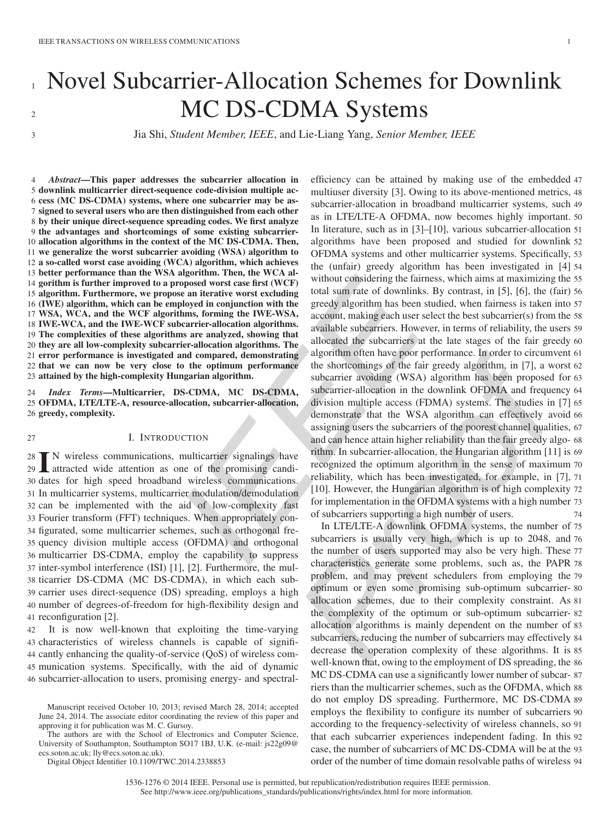# Novel Subcarrier-Allocation Schemes for Downlink MC DS-CDMA Systems 123 1NOVCI SUOCATITCI-AITOCATIOIT SCITCITICS TOT L<br><sup>2</sup><br>Jia Shi, *Student Member, IEEE*, and Lie-Liang Yang, *Senior Member, IEEE*

 *Abstract***—This paper addresses the subcarrier allocation in downlink multicarrier direct-sequence code-division multiple ac- cess (MC DS-CDMA) systems, where one subcarrier may be as- signed to several users who are then distinguished from each other by their unique direct-sequence spreading codes. We first analyze the advantages and shortcomings of some existing subcarrier- allocation algorithms in the context of the MC DS-CDMA. Then, we generalize the worst subcarrier avoiding (WSA) algorithm to a so-called worst case avoiding (WCA) algorithm, which achieves better performance than the WSA algorithm. Then, the WCA al- gorithm is further improved to a proposed worst case first (WCF) algorithm. Furthermore, we propose an iterative worst excluding (IWE) algorithm, which can be employed in conjunction with the WSA, WCA, and the WCF algorithms, forming the IWE-WSA, IWE-WCA, and the IWE-WCF subcarrier-allocation algorithms. The complexities of these algorithms are analyzed, showing that they are all low-complexity subcarrier-allocation algorithms. The error performance is investigated and compared, demonstrating that we can now be very close to the optimum performance attained by the high-complexity Hungarian algorithm.**

24 *Index Terms***—Multicarrier, DS-CDMA, MC DS-CDMA,** 25 **OFDMA, LTE/LTE-A, resource-allocation, subcarrier-allocation,** 26 **greedy, complexity.**

#### 27 I. INTRODUCTION

 $\blacksquare$  N wireless communications, multicarrier signalings have<br>29  $\blacksquare$  attracted wide attention as one of the promising candi- attracted wide attention as one of the promising candi- dates for high speed broadband wireless communications. In multicarrier systems, multicarrier modulation/demodulation can be implemented with the aid of low-complexity fast Fourier transform (FFT) techniques. When appropriately con- figurated, some multicarrier schemes, such as orthogonal fre- quency division multiple access (OFDMA) and orthogonal multicarrier DS-CDMA, employ the capability to suppress inter-symbol interference (ISI) [1], [2]. Furthermore, the mul- ticarrier DS-CDMA (MC DS-CDMA), in which each sub- carrier uses direct-sequence (DS) spreading, employs a high number of degrees-of-freedom for high-flexibility design and reconfiguration [2].

 It is now well-known that exploiting the time-varying characteristics of wireless channels is capable of signifi- cantly enhancing the quality-of-service (QoS) of wireless com- munication systems. Specifically, with the aid of dynamic subcarrier-allocation to users, promising energy- and spectral-

The authors are with the School of Electronics and Computer Science, University of Southampton, Southampton SO17 1BJ, U.K. (e-mail: js22g09@ ecs.soton.ac.uk; lly@ecs.soton.ac.uk).

Digital Object Identifier 10.1109/TWC.2014.2338853

CAI angentian, which actively the (unfair) greedy algorithm has been investigated in [4]<br>happenting the WCA at-<br>sugged was the confidence of downlinks. By contrast, in [5], [6], the (fair)<br>playerthm, Remainter active two efficiency can be attained by making use of the embedded 47 multiuser diversity [3]. Owing to its above-mentioned metrics, 48 subcarrier-allocation in broadband multicarrier systems, such 49 as in LTE/LTE-A OFDMA, now becomes highly important. 50 In literature, such as in [3]–[10], various subcarrier-allocation 51 algorithms have been proposed and studied for downlink 52 OFDMA systems and other multicarrier systems. Specifically, 53 the (unfair) greedy algorithm has been investigated in [4] 54 without considering the fairness, which aims at maximizing the 55 total sum rate of downlinks. By contrast, in [5], [6], the (fair) 56 greedy algorithm has been studied, when fairness is taken into 57 account, making each user select the best subcarrier(s) from the 58 available subcarriers. However, in terms of reliability, the users 59 allocated the subcarriers at the late stages of the fair greedy 60 algorithm often have poor performance. In order to circumvent 61 the shortcomings of the fair greedy algorithm, in [7], a worst 62 subcarrier avoiding (WSA) algorithm has been proposed for 63 subcarrier-allocation in the downlink OFDMA and frequency 64 division multiple access (FDMA) systems. The studies in [7] 65 demonstrate that the WSA algorithm can effectively avoid 66 assigning users the subcarriers of the poorest channel qualities, 67 and can hence attain higher reliability than the fair greedy algo- 68 rithm. In subcarrier-allocation, the Hungarian algorithm [11] is 69 recognized the optimum algorithm in the sense of maximum 70 reliability, which has been investigated, for example, in [7], 71 [10]. However, the Hungarian algorithm is of high complexity 72 for implementation in the OFDMA systems with a high number 73 of subcarriers supporting a high number of users. 74

In LTE/LTE-A downlink OFDMA systems, the number of 75 subcarriers is usually very high, which is up to 2048, and 76 the number of users supported may also be very high. These 77 characteristics generate some problems, such as, the PAPR 78 problem, and may prevent schedulers from employing the 79 optimum or even some promising sub-optimum subcarrier- 80 allocation schemes, due to their complexity constraint. As 81 the complexity of the optimum or sub-optimum subcarrier- 82 allocation algorithms is mainly dependent on the number of 83 subcarriers, reducing the number of subcarriers may effectively 84 decrease the operation complexity of these algorithms. It is 85 well-known that, owing to the employment of DS spreading, the 86 MC DS-CDMA can use a significantly lower number of subcar- 87 riers than the multicarrier schemes, such as the OFDMA, which 88 do not employ DS spreading. Furthermore, MC DS-CDMA 89 employs the flexibility to configure its number of subcarriers 90 according to the frequency-selectivity of wireless channels, so 91 that each subcarrier experiences independent fading. In this 92 case, the number of subcarriers of MC DS-CDMA will be at the 93 order of the number of time domain resolvable paths of wireless 94

Manuscript received October 10, 2013; revised March 28, 2014; accepted June 24, 2014. The associate editor coordinating the review of this paper and approving it for publication was M. C. Gursoy.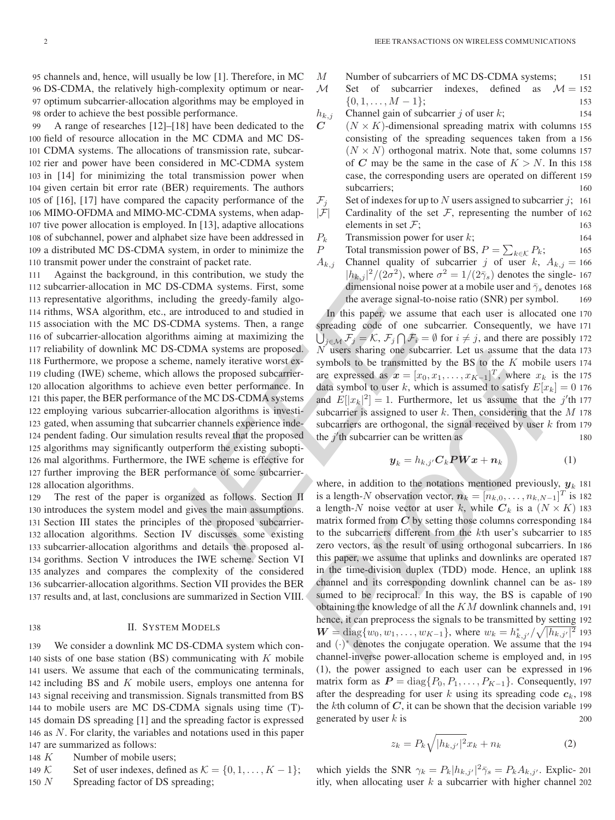channels and, hence, will usually be low [1]. Therefore, in MC DS-CDMA, the relatively high-complexity optimum or near- optimum subcarrier-allocation algorithms may be employed in order to achieve the best possible performance.

 A range of researches [12]–[18] have been dedicated to the field of resource allocation in the MC CDMA and MC DS- CDMA systems. The allocations of transmission rate, subcar- rier and power have been considered in MC-CDMA system in [14] for minimizing the total transmission power when given certain bit error rate (BER) requirements. The authors of [16], [17] have compared the capacity performance of the MIMO-OFDMA and MIMO-MC-CDMA systems, when adap- tive power allocation is employed. In [13], adaptive allocations of subchannel, power and alphabet size have been addressed in a distributed MC DS-CDMA system, in order to minimize the transmit power under the constraint of packet rate.

 Against the background, in this contribution, we study the subcarrier-allocation in MC DS-CDMA systems. First, some representative algorithms, including the greedy-family algo- rithms, WSA algorithm, etc., are introduced to and studied in association with the MC DS-CDMA systems. Then, a range of subcarrier-allocation algorithms aiming at maximizing the reliability of downlink MC DS-CDMA systems are proposed. Furthermore, we propose a scheme, namely iterative worst ex- cluding (IWE) scheme, which allows the proposed subcarrier- allocation algorithms to achieve even better performance. In this paper, the BER performance of the MC DS-CDMA systems employing various subcarrier-allocation algorithms is investi- gated, when assuming that subcarrier channels experience inde- pendent fading. Our simulation results reveal that the proposed algorithms may significantly outperform the existing subopti- mal algorithms. Furthermore, the IWE scheme is effective for further improving the BER performance of some subcarrier-allocation algorithms.

 The rest of the paper is organized as follows. Section II introduces the system model and gives the main assumptions. Section III states the principles of the proposed subcarrier- allocation algorithms. Section IV discusses some existing subcarrier-allocation algorithms and details the proposed al- gorithms. Section V introduces the IWE scheme. Section VI analyzes and compares the complexity of the considered subcarrier-allocation algorithms. Section VII provides the BER results and, at last, conclusions are summarized in Section VIII.

#### 138 II. SYSTEM MODELS

 We consider a downlink MC DS-CDMA system which con-140 sists of one base station  $(BS)$  communicating with K mobile users. We assume that each of the communicating terminals, including BS and K mobile users, employs one antenna for signal receiving and transmission. Signals transmitted from BS to mobile users are MC DS-CDMA signals using time (T)- domain DS spreading [1] and the spreading factor is expressed as N. For clarity, the variables and notations used in this paper are summarized as follows:

- 148 K Number of mobile users;
- 149 K K Set of user indexes, defined as  $\mathcal{K} = \{0, 1, \dots, K - 1\};$
- $150 N$ Spreading factor of DS spreading;
- M Number of subcarriers of MC DS-CDMA systems; 151
- M Set of subcarrier indexes, defined as  $M = 152$  $\{0, 1, \ldots, M-1\};$  153

 $h_{k,j}$  Channel gain of subcarrier j of user k; 154  $C$  ( $N \times K$ )-dimensional spreading matrix with columns 155 consisting of the spreading sequences taken from a 156

- $(N \times N)$  orthogonal matrix. Note that, some columns 157 of C may be the same in the case of  $K > N$ . In this 158 case, the corresponding users are operated on different 159 subcarriers;
- $\mathcal{F}_j$  Set of indexes for up to N users assigned to subcarrier j; 161
- $|\mathcal{F}|$  Cardinality of the set  $\mathcal{F}$ , representing the number of 162 elements in set F ; 163
- $P_k$  Transmission power for user k ; 164
- P Total transmission power of BS,  $P = \sum_{k \in \mathcal{K}} P_k$ ; 165
- $A_{k,j}$  Channel quality of subcarrier j of user k,  $A_{k,j} = 166$  $|h_{k,j}|^2/(2\sigma^2)$ , where  $\sigma^2 = 1/(2\bar{\gamma}_s)$  denotes the single-167 dimensional noise power at a mobile user and  $\bar{\gamma}_s$  denotes 168 the average signal-to-noise ratio (SNR) per symbol. 169

In this paper, we assume that each user is allocated one 170 spreading code of one subcarrier. Consequently, we have 171  $\bigcup_{j \in \mathcal{M}} \mathcal{F}_j = \mathcal{K}, \mathcal{F}_j \bigcap \mathcal{F}_i = \emptyset$  for  $i \neq j$ , and there are possibly 172 N users sharing one subcarrier. Let us assume that the data 173 symbols to be transmitted by the BS to the  $K$  mobile users 174 are expressed as  $\mathbf{x} = [x_0, x_1, \dots, x_{K-1}]^T$ , where  $x_k$  is the 175 data symbol to user k, which is assumed to satisfy  $E[x_k] = 0$  176 and  $E[|x_k|^2] = 1$ . Furthermore, let us assume that the j'th 177 subcarrier is assigned to user  $k$ . Then, considering that the  $M$  178 subcarriers are orthogonal, the signal received by user  $k$  from 179 the  $j'$ th subcarrier can be written as  $180$ 

$$
\boldsymbol{y}_k = h_{k,j'} \boldsymbol{C}_k \boldsymbol{P} \boldsymbol{W} \boldsymbol{x} + \boldsymbol{n}_k \tag{1}
$$

In the packet rate.<br>
This contribution, we study the  $\frac{h_{k,j}}{h_{k,j}} = \frac{1}{\sqrt{2\sigma^2}}$ , where  $\sigma^2 = 1/(2\tau_{\theta}^2)$  contours the simple<br>
its contribution, we study the  $\frac{h_{k,j}}{h_{k,j}} = \frac{1}{\sqrt{2\sigma^2}}$ , where  $\sigma^2 = 1/(2\tau_{\theta}^$ where, in addition to the notations mentioned previously,  $y_k$  181 is a length-N observation vector,  $n_k = [n_{k,0}, \dots, n_{k,N-1}]^T$  is 182 a length-N noise vector at user k, while  $C_k$  is a  $(N \times K)$  183 matrix formed from *C* by setting those columns corresponding 184 to the subcarriers different from the kth user's subcarrier to 185 zero vectors, as the result of using orthogonal subcarriers. In 186 this paper, we assume that uplinks and downlinks are operated 187 in the time-division duplex (TDD) mode. Hence, an uplink 188 channel and its corresponding downlink channel can be as- 189 sumed to be reciprocal. In this way, the BS is capable of 190 obtaining the knowledge of all the  $KM$  downlink channels and, 191 hence, it can preprocess the signals to be transmitted by setting 192  $W = diag\{w_0, w_1, \dots, w_{K-1}\},$  where  $w_k = h_{k,j'}^* / \sqrt{|h_{k,j'}|^2}$  193 and  $(\cdot)^*$  denotes the conjugate operation. We assume that the 194 channel-inverse power-allocation scheme is employed and, in 195 (1), the power assigned to each user can be expressed in 196 matrix form as  $P = diag\{P_0, P_1, \ldots, P_{K-1}\}\$ . Consequently, 197 after the despreading for user  $k$  using its spreading code  $c_k$ , 198 the  $k$ th column of  $C$ , it can be shown that the decision variable 199 generated by user  $k$  is  $k$  is 200

$$
z_k = P_k \sqrt{|h_{k,j'}|^2} x_k + n_k \tag{2}
$$

which yields the SNR  $\gamma_k = P_k |h_{k,j'}|^2 \overline{\gamma}_s = P_k A_{k,j'}$ . Explic- 201 itly, when allocating user  $k$  a subcarrier with higher channel 202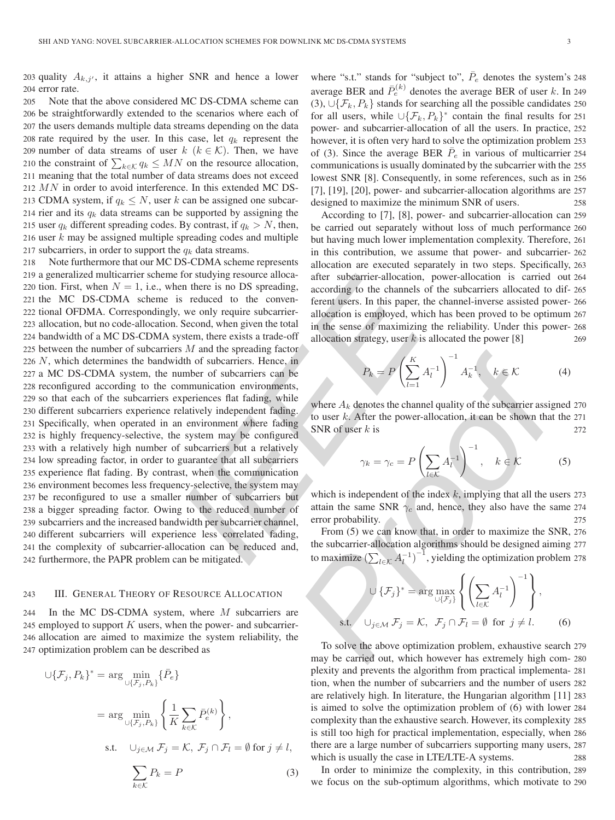203 quality  $A_{k,j'}$ , it attains a higher SNR and hence a lower 204 error rate.

205 Note that the above considered MC DS-CDMA scheme can 206 be straightforwardly extended to the scenarios where each of 207 the users demands multiple data streams depending on the data 208 rate required by the user. In this case, let  $q_k$  represent the 209 number of data streams of user  $k \ (k \in \mathcal{K})$ . Then, we have 210 the constraint of  $\sum_{k \in \mathcal{K}} q_k \leq MN$  on the resource allocation, 211 meaning that the total number of data streams does not exceed 212  $MN$  in order to avoid interference. In this extended MC DS-213 CDMA system, if  $q_k \leq N$ , user k can be assigned one subcar-214 rier and its  $q_k$  data streams can be supported by assigning the 215 user  $q_k$  different spreading codes. By contrast, if  $q_k > N$ , then, 216 user  $k$  may be assigned multiple spreading codes and multiple 217 subcarriers, in order to support the  $q_k$  data streams.

S-CDMA scheme eppescan allocation are executed separately in two steps. Specifically<br>for studying resource alloca-<br>after subcerrier-allocation, power-allocation is carried out<br>of the conversion are executing according to Note furthermore that our MC DS-CDMA scheme represents a generalized multicarrier scheme for studying resource alloca-220 tion. First, when  $N = 1$ , i.e., when there is no DS spreading, the MC DS-CDMA scheme is reduced to the conven- tional OFDMA. Correspondingly, we only require subcarrier- allocation, but no code-allocation. Second, when given the total bandwidth of a MC DS-CDMA system, there exists a trade-off 225 between the number of subcarriers  $M$  and the spreading factor N, which determines the bandwidth of subcarriers. Hence, in a MC DS-CDMA system, the number of subcarriers can be reconfigured according to the communication environments, so that each of the subcarriers experiences flat fading, while different subcarriers experience relatively independent fading. Specifically, when operated in an environment where fading is highly frequency-selective, the system may be configured with a relatively high number of subcarriers but a relatively low spreading factor, in order to guarantee that all subcarriers experience flat fading. By contrast, when the communication environment becomes less frequency-selective, the system may be reconfigured to use a smaller number of subcarriers but a bigger spreading factor. Owing to the reduced number of subcarriers and the increased bandwidth per subcarrier channel, different subcarriers will experience less correlated fading, the complexity of subcarrier-allocation can be reduced and, furthermore, the PAPR problem can be mitigated.

#### 243 III. GENERAL THEORY OF RESOURCE ALLOCATION

244 In the MC DS-CDMA system, where  $M$  subcarriers are 245 employed to support  $K$  users, when the power- and subcarrier-246 allocation are aimed to maximize the system reliability, the 247 optimization problem can be described as

$$
\bigcup \{\mathcal{F}_j, P_k\}^* = \arg \min_{\bigcup \{\mathcal{F}_j, P_k\}} \{\bar{P}_e\}
$$

$$
= \arg \min_{\bigcup \{\mathcal{F}_j, P_k\}} \left\{ \frac{1}{K} \sum_{k \in \mathcal{K}} \bar{P}_e^{(k)} \right\},
$$
s.t. 
$$
\bigcup_{j \in \mathcal{M}} \mathcal{F}_j = \mathcal{K}, \ \mathcal{F}_j \cap \mathcal{F}_l = \emptyset \text{ for } j \neq l,
$$

$$
\sum_{k \in \mathcal{K}} P_k = P \tag{3}
$$

where "s.t." stands for "subject to",  $\bar{P}_e$  denotes the system's 248 average BER and  $\bar{P}_e^{(k)}$  denotes the average BER of user k. In 249 (3),  $\cup$ { $\mathcal{F}_k$ ,  $P_k$ } stands for searching all the possible candidates 250 for all users, while  $\cup {\{\mathcal{F}_k, P_k\}}^*$  contain the final results for 251 power- and subcarrier-allocation of all the users. In practice, 252 however, it is often very hard to solve the optimization problem 253 of (3). Since the average BER  $\bar{P}_e$  in various of multicarrier 254 communications is usually dominated by the subcarrier with the 255 lowest SNR [8]. Consequently, in some references, such as in 256 [7], [19], [20], power- and subcarrier-allocation algorithms are 257 designed to maximize the minimum SNR of users. 258

According to [7], [8], power- and subcarrier-allocation can 259 be carried out separately without loss of much performance 260 but having much lower implementation complexity. Therefore, 261 in this contribution, we assume that power- and subcarrier- 262 allocation are executed separately in two steps. Specifically, 263 after subcarrier-allocation, power-allocation is carried out 264 according to the channels of the subcarriers allocated to dif- 265 ferent users. In this paper, the channel-inverse assisted power- 266 allocation is employed, which has been proved to be optimum 267 in the sense of maximizing the reliability. Under this power- 268 allocation strategy, user  $k$  is allocated the power [8] 269

$$
P_k = P\left(\sum_{l=1}^K A_l^{-1}\right)^{-1} A_k^{-1}, \quad k \in \mathcal{K} \tag{4}
$$

where  $A_k$  denotes the channel quality of the subcarrier assigned 270 to user k. After the power-allocation, it can be shown that the 271 SNR of user  $k$  is  $k$  is 272

$$
\gamma_k = \gamma_c = P\left(\sum_{l \in \mathcal{K}} A_l^{-1}\right)^{-1}, \quad k \in \mathcal{K} \tag{5}
$$

which is independent of the index  $k$ , implying that all the users 273 attain the same SNR  $\gamma_c$  and, hence, they also have the same 274 error probability.

From (5) we can know that, in order to maximize the SNR, 276 the subcarrier-allocation algorithms should be designed aiming 277 to maximize  $\left(\sum_{l \in \mathcal{K}} A_l^{-1}\right)^{-1}$ , yielding the optimization problem 278

s.t.

$$
\bigcup \{\mathcal{F}_j\}^* = \arg \max_{\bigcup \{\mathcal{F}_j\}} \left\{ \left( \sum_{l \in \mathcal{K}} A_l^{-1} \right)^{-1} \right\},
$$
  

$$
\bigcup_{j \in \mathcal{M}} \mathcal{F}_j = \mathcal{K}, \ \mathcal{F}_j \cap \mathcal{F}_l = \emptyset \ \text{for} \ j \neq l. \tag{6}
$$

To solve the above optimization problem, exhaustive search 279 may be carried out, which however has extremely high com- 280 plexity and prevents the algorithm from practical implementa- 281 tion, when the number of subcarriers and the number of users 282 are relatively high. In literature, the Hungarian algorithm [11] 283 is aimed to solve the optimization problem of (6) with lower 284 complexity than the exhaustive search. However, its complexity 285 is still too high for practical implementation, especially, when 286 there are a large number of subcarriers supporting many users, 287 which is usually the case in LTE/LTE-A systems. 288

In order to minimize the complexity, in this contribution, 289 we focus on the sub-optimum algorithms, which motivate to 290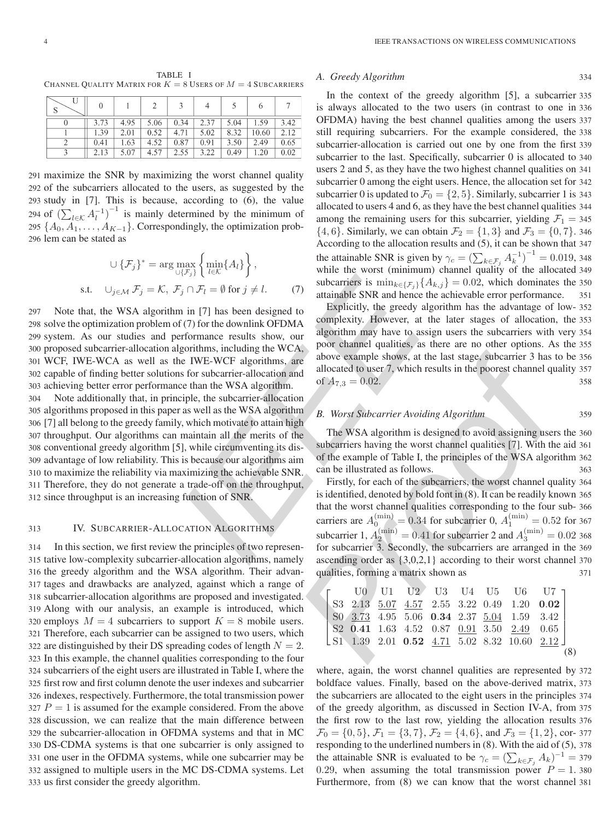TABLE I CHANNEL QUALITY MATRIX FOR  $K=8$  Users of  $M=4$  Subcarriers

| 3.73 | 4.95 | 5.06 | 0.34 | 2.37 | 5.04 | 1.59  | 3.42 |
|------|------|------|------|------|------|-------|------|
| 1.39 | 2.01 | 0.52 | 4.71 | 5.02 | 8.32 | 10.60 | 2.12 |
| 0.41 | 1.63 | 4.52 | 0.87 | 0.91 | 3.50 | 2.49  | 0.65 |
| 2.13 | 5.07 | 4.57 | 2.55 | 3.22 | 0.49 | 1.20  | 0.02 |

 maximize the SNR by maximizing the worst channel quality of the subcarriers allocated to the users, as suggested by the study in [7]. This is because, according to (6), the value 294 of  $\left(\sum_{l \in \mathcal{K}} A_l^{-1}\right)^{-1}$  is mainly determined by the minimum of  $\{A_0, A_1, \ldots, A_{K-1}\}$ . Correspondingly, the optimization prob-lem can be stated as

$$
\bigcup \{ \mathcal{F}_j \}^* = \arg \max_{\bigcup \{ \mathcal{F}_j \}} \left\{ \min_{l \in \mathcal{K}} \{ A_l \} \right\},
$$
  
s.t. 
$$
\bigcup_{j \in \mathcal{M}} \mathcal{F}_j = \mathcal{K}, \ \mathcal{F}_j \cap \mathcal{F}_l = \emptyset \text{ for } j \neq l. \tag{7}
$$

 Note that, the WSA algorithm in [7] has been designed to solve the optimization problem of (7) for the downlink OFDMA system. As our studies and performance results show, our proposed subcarrier-allocation algorithms, including the WCA, WCF, IWE-WCA as well as the IWE-WCF algorithms, are capable of finding better solutions for subcarrier-allocation and achieving better error performance than the WSA algorithm.

 Note additionally that, in principle, the subcarrier-allocation algorithms proposed in this paper as well as the WSA algorithm [7] all belong to the greedy family, which motivate to attain high throughput. Our algorithms can maintain all the merits of the conventional greedy algorithm [5], while circumventing its dis- advantage of low reliability. This is because our algorithms aim to maximize the reliability via maximizing the achievable SNR. Therefore, they do not generate a trade-off on the throughput, since throughput is an increasing function of SNR.

#### 313 IV. SUBCARRIER-ALLOCATION ALGORITHMS

 In this section, we first review the principles of two represen- tative low-complexity subcarrier-allocation algorithms, namely the greedy algorithm and the WSA algorithm. Their advan- tages and drawbacks are analyzed, against which a range of subcarrier-allocation algorithms are proposed and investigated. Along with our analysis, an example is introduced, which 320 employs  $M = 4$  subcarriers to support  $K = 8$  mobile users. Therefore, each subcarrier can be assigned to two users, which 322 are distinguished by their DS spreading codes of length  $N = 2$ . In this example, the channel qualities corresponding to the four subcarriers of the eight users are illustrated in Table I, where the first row and first column denote the user indexes and subcarrier indexes, respectively. Furthermore, the total transmission power  $P = 1$  is assumed for the example considered. From the above discussion, we can realize that the main difference between the subcarrier-allocation in OFDMA systems and that in MC DS-CDMA systems is that one subcarrier is only assigned to one user in the OFDMA systems, while one subcarrier may be assigned to multiple users in the MC DS-CDMA systems. Let us first consider the greedy algorithm.

#### *A. Greedy Algorithm* 334

In the context of the greedy algorithm [5], a subcarrier 335 is always allocated to the two users (in contrast to one in 336 OFDMA) having the best channel qualities among the users 337 still requiring subcarriers. For the example considered, the 338 subcarrier-allocation is carried out one by one from the first 339 subcarrier to the last. Specifically, subcarrier 0 is allocated to 340 users 2 and 5, as they have the two highest channel qualities on 341 subcarrier 0 among the eight users. Hence, the allocation set for 342 subcarrier 0 is updated to  $\mathcal{F}_0 = \{2, 5\}$ . Similarly, subcarrier 1 is 343 allocated to users 4 and 6, as they have the best channel qualities 344 among the remaining users for this subcarrier, yielding  $\mathcal{F}_1 = 345$  $\{4, 6\}$ . Similarly, we can obtain  $\mathcal{F}_2 = \{1, 3\}$  and  $\mathcal{F}_3 = \{0, 7\}$ . 346 According to the allocation results and (5), it can be shown that 347 the attainable SNR is given by  $\gamma_c = \left(\sum_{k \in \mathcal{F}_j} A_k^{-1}\right)^{-1} = 0.019$ , 348 while the worst (minimum) channel quality of the allocated 349 subcarriers is  $\min_{k \in \{\mathcal{F}_j\}} \{A_{k,j}\} = 0.02$ , which dominates the 350 attainable SNR and hence the achievable error performance. 351

Explicitly, the greedy algorithm has the advantage of low- 352 complexity. However, at the later stages of allocation, the 353 algorithm may have to assign users the subcarriers with very 354 poor channel qualities, as there are no other options. As the 355 above example shows, at the last stage, subcarrier 3 has to be 356 allocated to user 7, which results in the poorest channel quality 357 of  $A_{7,3} = 0.02$ . 358

#### *B. Worst Subcarrier Avoiding Algorithm* 359

The WSA algorithm is designed to avoid assigning users the 360 subcarriers having the worst channel qualities [7]. With the aid 361 of the example of Table I, the principles of the WSA algorithm 362 can be illustrated as follows. 363

max  $\{\text{Ann}(At_i)\}$ , while the worst (minimum) channel quality of the allocate<br>
F<sub>1</sub> (1)  $\{H_{i\ell}\}$  subcardies is imi<sub>ne</sub>  $\{S_1 \cap F_1 = \emptyset \text{ for } j \neq l, \ldots \}$  attainable SNR and hence the achievable error performance is<br>
in [7] Firstly, for each of the subcarriers, the worst channel quality 364 is identified, denoted by bold font in (8). It can be readily known 365 that the worst channel qualities corresponding to the four sub- 366 carriers are  $A_0^{\text{(min)}} = 0.34$  for subcarrier 0,  $A_1^{\text{(min)}} = 0.52$  for 367 subcarrier 1,  $A_2^{(\text{min})} = 0.41$  for subcarrier 2 and  $A_3^{(\text{min})} = 0.02$  368 for subcarrier 3. Secondly, the subcarriers are arranged in the 369 ascending order as {3,0,2,1} according to their worst channel 370 qualities, forming a matrix shown as  $371$ 

$$
\begin{bmatrix} 00 & 01 & 02 & 03 & 04 & 05 & 06 & 07 \\ 83 & 2.13 & \underline{5.07} & \underline{4.57} & 2.55 & 3.22 & 0.49 & 1.20 & \textbf{0.02} \\ 80 & \underline{3.73} & 4.95 & 5.06 & \textbf{0.34} & 2.37 & \underline{5.04} & 1.59 & 3.42 \\ 82 & \textbf{0.41} & 1.63 & 4.52 & 0.87 & \underline{0.91} & 3.50 & \underline{2.49} & 0.65 \\ 81 & 1.39 & 2.01 & \textbf{0.52} & \underline{4.71} & 5.02 & 8.32 & 10.60 & \underline{2.12} \end{bmatrix} (8)
$$

where, again, the worst channel qualities are represented by 372 boldface values. Finally, based on the above-derived matrix, 373 the subcarriers are allocated to the eight users in the principles 374 of the greedy algorithm, as discussed in Section IV-A, from 375 the first row to the last row, yielding the allocation results 376  $\mathcal{F}_0 = \{0, 5\}, \mathcal{F}_1 = \{3, 7\}, \mathcal{F}_2 = \{4, 6\}, \text{ and } \mathcal{F}_3 = \{1, 2\}, \text{cor- 377}$ responding to the underlined numbers in (8). With the aid of (5), 378 the attainable SNR is evaluated to be  $\gamma_c = (\sum_{k \in \mathcal{F}_j} A_k)^{-1} = 379$ 0.29, when assuming the total transmission power  $P = 1$ . 380 Furthermore, from (8) we can know that the worst channel 381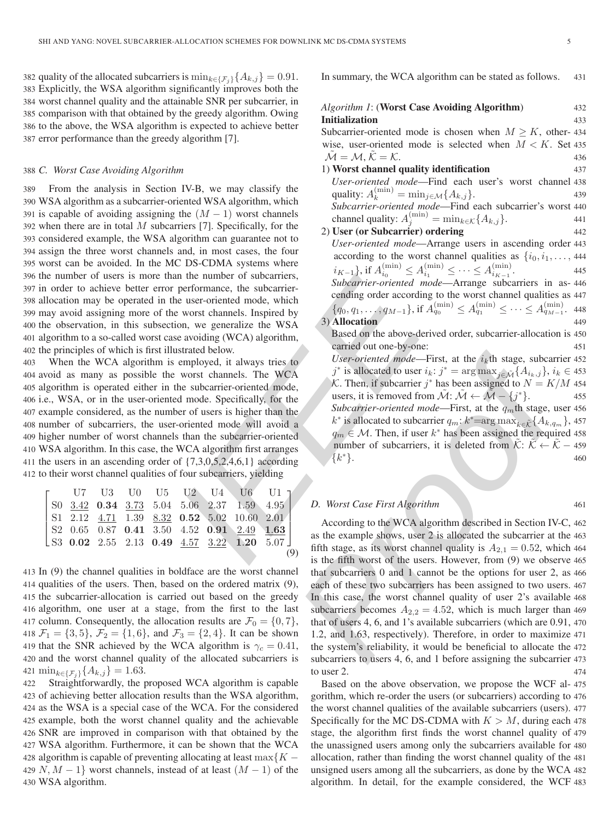382 quality of the allocated subcarriers is  $\min_{k \in \{\mathcal{F}_j\}} \{A_{k,j}\} = 0.91$ . Explicitly, the WSA algorithm significantly improves both the worst channel quality and the attainable SNR per subcarrier, in comparison with that obtained by the greedy algorithm. Owing to the above, the WSA algorithm is expected to achieve better error performance than the greedy algorithm [7].

#### 388 *C. Worst Case Avoiding Algorithm*

 From the analysis in Section IV-B, we may classify the WSA algorithm as a subcarrier-oriented WSA algorithm, which 391 is capable of avoiding assigning the  $(M-1)$  worst channels 392 when there are in total  $M$  subcarriers [7]. Specifically, for the considered example, the WSA algorithm can guarantee not to assign the three worst channels and, in most cases, the four worst can be avoided. In the MC DS-CDMA systems where the number of users is more than the number of subcarriers, in order to achieve better error performance, the subcarrier- allocation may be operated in the user-oriented mode, which may avoid assigning more of the worst channels. Inspired by the observation, in this subsection, we generalize the WSA algorithm to a so-called worst case avoiding (WCA) algorithm, the principles of which is first illustrated below.

 When the WCA algorithm is employed, it always tries to avoid as many as possible the worst channels. The WCA algorithm is operated either in the subcarrier-oriented mode, i.e., WSA, or in the user-oriented mode. Specifically, for the example considered, as the number of users is higher than the number of subcarriers, the user-oriented mode will avoid a higher number of worst channels than the subcarrier-oriented WSA algorithm. In this case, the WCA algorithm first arranges the users in an ascending order of {7,3,0,5,2,4,6,1} according to their worst channel qualities of four subcarriers, yielding

|  |  |  |  | $\begin{bmatrix} S1 & 2.12 & \underline{4.71} & 1.39 & \underline{8.32} & \underline{0.52} & 5.02 & 10.60 & 2.01 \end{bmatrix}$ |  |
|--|--|--|--|---------------------------------------------------------------------------------------------------------------------------------|--|
|  |  |  |  |                                                                                                                                 |  |
|  |  |  |  | $\begin{bmatrix} S3 & 0.02 & 2.55 & 2.13 & 0.49 & 4.57 & 3.22 & 1.20 & 5.07 \end{bmatrix}$                                      |  |
|  |  |  |  |                                                                                                                                 |  |

 In (9) the channel qualities in boldface are the worst channel qualities of the users. Then, based on the ordered matrix (9), the subcarrier-allocation is carried out based on the greedy algorithm, one user at a stage, from the first to the last 417 column. Consequently, the allocation results are  $\mathcal{F}_0 = \{0, 7\},\$  $\mathcal{F}_1 = \{3, 5\}, \ \mathcal{F}_2 = \{1, 6\}, \text{ and } \mathcal{F}_3 = \{2, 4\}.$  It can be shown 419 that the SNR achieved by the WCA algorithm is  $\gamma_c = 0.41$ , and the worst channel quality of the allocated subcarriers is  $\min_{k \in \{\mathcal{F}_j\}} \{A_{k,j}\} = 1.63.$ 

 Straightforwardly, the proposed WCA algorithm is capable of achieving better allocation results than the WSA algorithm, as the WSA is a special case of the WCA. For the considered example, both the worst channel quality and the achievable SNR are improved in comparison with that obtained by the WSA algorithm. Furthermore, it can be shown that the WCA 428 algorithm is capable of preventing allocating at least  $\max\{K - \}$  $N, M - 1$ } worst channels, instead of at least  $(M - 1)$  of the WSA algorithm.

| <i>Algorithm 1</i> : (Worst Case Avoiding Algorithm)                                                                                                                                                                                                                                                                            | 432 |
|---------------------------------------------------------------------------------------------------------------------------------------------------------------------------------------------------------------------------------------------------------------------------------------------------------------------------------|-----|
| Initialization                                                                                                                                                                                                                                                                                                                  | 433 |
| $\alpha$ 1. $\beta$ , $\beta$ , $\beta$ , $\beta$ , $\beta$ , $\beta$ , $\beta$ , $\beta$ , $\beta$ , $\beta$ , $\beta$ , $\beta$ , $\beta$ , $\beta$ , $\beta$ , $\beta$ , $\beta$ , $\beta$ , $\beta$ , $\beta$ , $\beta$ , $\beta$ , $\beta$ , $\beta$ , $\beta$ , $\beta$ , $\beta$ , $\beta$ , $\beta$ , $\beta$ , $\beta$ |     |

Subcarrier-oriented mode is chosen when  $M \geq K$ , other-434 wise, user-oriented mode is selected when  $M < K$ . Set 435  $\mathcal{\tilde{M}} = \mathcal{M}, \mathcal{\tilde{K}} = \mathcal{K}.$  436

1) **Worst channel quality identification** 437 *User-oriented mode*—Find each user's worst channel 438 quality:  $A_k^{\text{(min)}} = \min_{j \in \mathcal{M}} \{ A_{k,j} \}$ . 439 *Subcarrier-oriented mode*—Find each subcarrier's worst 440 channel quality:  $A_j^{(\min)} = \min_{k \in \mathcal{K}} \{ A_{k,j} \}$ . 441

TDS-CDMA systems where<br>  $\mathbf{r}$  in the number of subcarriers,<br>  $\mathbf{r}$  in the number of subcarriers,  $i_{K-1}$ ,  $i_{K-1}$  and  $i_{K-1}$  and  $i_{K-1}$  and  $i_{K-1}$  and  $i_{K-1}$  and  $i_{K-1}$  and  $i_{K-1}$  and  $i_{K-1}$  and  $i_{K$ 2) **User (or Subcarrier) ordering** 442 *User-oriented mode*—Arrange users in ascending order 443 according to the worst channel qualities as  $\{i_0, i_1, \ldots, 444\}$  $\{i_{K-1}\}\$ , if  $A_{i_0}^{(\min)} \leq A_{i_1}^{(\min)} \leq \cdots \leq A_{i_{K-1}}^{(\min)}$ . 445 *Subcarrier-oriented mode*—Arrange subcarriers in as- 446 cending order according to the worst channel qualities as 447  ${q_0, q_1, \ldots, q_{M-1}}$ , if  $A_{q_0}^{(\min)} \leq A_{q_1}^{(\min)} \leq \cdots \leq A_{q_{M-1}}^{(\min)}$ . 448 3) **Allocation** 449 Based on the above-derived order, subcarrier-allocation is 450 carried out one-by-one: 451 User-oriented mode—First, at the  $i_k$ th stage, subcarrier 452 j<sup>\*</sup> is allocated to user  $i_k$ :  $j^* = \arg \max_{j \in \mathcal{M}} \{A_{i_k,j}\}, i_k \in 453$ K. Then, if subcarrier  $j^*$  has been assigned to  $N = K/M$  454 users, it is removed from  $\tilde{\mathcal{M}}$ :  $\tilde{\mathcal{M}} \leftarrow \tilde{\mathcal{M}} - \{j^*\}$ . 455 Subcarrier-oriented mode—First, at the  $q<sub>m</sub>$ th stage, user 456  $k^*$  is allocated to subcarrier  $q_m$ :  $k^*$ =arg  $\max_{k \in \tilde{\mathcal{K}}}\{A_{k,q_m}\},$  457  $q_m$  ∈ M. Then, if user  $k^*$  has been assigned the required 458 number of subcarriers, it is deleted from  $\tilde{\mathcal{K}}$ :  $\tilde{\mathcal{K}} \leftarrow \tilde{\mathcal{K}} - 459$  $\{k^*\}$ . **460** 

#### *D. Worst Case First Algorithm* 461

According to the WCA algorithm described in Section IV-C, 462 as the example shows, user 2 is allocated the subcarrier at the 463 fifth stage, as its worst channel quality is  $A_{2,1} = 0.52$ , which 464 is the fifth worst of the users. However, from (9) we observe 465 that subcarriers 0 and 1 cannot be the options for user 2, as 466 each of these two subcarriers has been assigned to two users. 467 In this case, the worst channel quality of user 2's available 468 subcarriers becomes  $A_{2,2} = 4.52$ , which is much larger than 469 that of users 4, 6, and 1's available subcarriers (which are 0.91, 470 1.2, and 1.63, respectively). Therefore, in order to maximize 471 the system's reliability, it would be beneficial to allocate the 472 subcarriers to users 4, 6, and 1 before assigning the subcarrier 473 to user 2.

Based on the above observation, we propose the WCF al- 475 gorithm, which re-order the users (or subcarriers) according to 476 the worst channel qualities of the available subcarriers (users). 477 Specifically for the MC DS-CDMA with  $K > M$ , during each 478 stage, the algorithm first finds the worst channel quality of 479 the unassigned users among only the subcarriers available for 480 allocation, rather than finding the worst channel quality of the 481 unsigned users among all the subcarriers, as done by the WCA 482 algorithm. In detail, for the example considered, the WCF 483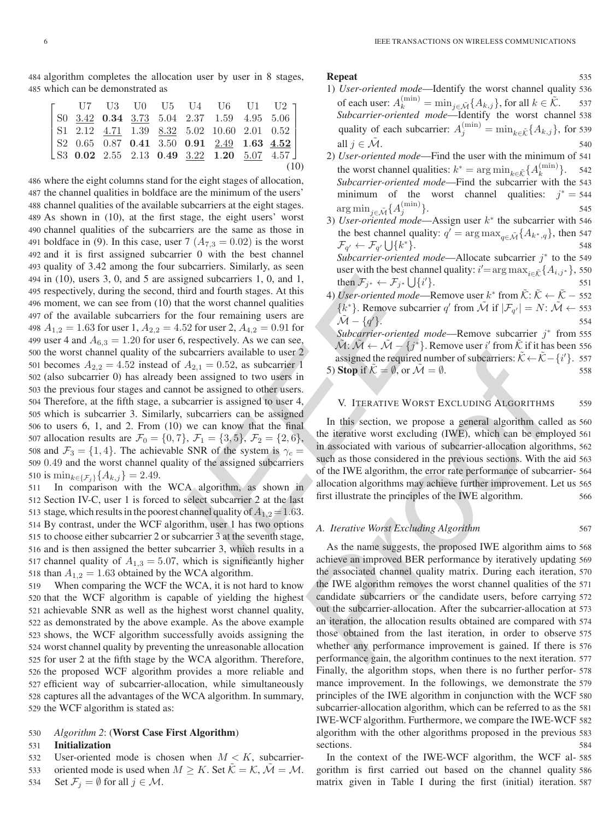484 algorithm completes the allocation user by user in 8 stages, 485 which can be demonstrated as

|  |  |  | [ U7 U3 U0 U5 U4 U6 U1 U2 ]                                                                                          |      |  |
|--|--|--|----------------------------------------------------------------------------------------------------------------------|------|--|
|  |  |  | $\begin{bmatrix}$ S0 $\frac{3.42}{0.34}$ 0.34 $\frac{3.73}{0.53}$ 5.04 2.37 1.59 4.95 5.06                           |      |  |
|  |  |  | $\begin{bmatrix} S1 & 2.12 & \underline{4.71} & 1.39 & \underline{8.32} & 5.02 & 10.60 & 2.01 & 0.52 \end{bmatrix}$  |      |  |
|  |  |  | $\begin{bmatrix} S2 & 0.65 & 0.87 & 0.41 & 3.50 & 0.91 & \frac{2.49}{2.49} & 1.63 & \frac{4.52}{2.49} \end{bmatrix}$ |      |  |
|  |  |  | $\begin{bmatrix} S3 & 0.02 & 2.55 & 2.13 & 0.49 & 3.22 & 1.20 & 5.07 & 4.57 \end{bmatrix}$                           |      |  |
|  |  |  |                                                                                                                      | (10) |  |

 where the eight columns stand for the eight stages of allocation, the channel qualities in boldface are the minimum of the users' channel qualities of the available subcarriers at the eight stages. As shown in (10), at the first stage, the eight users' worst channel qualities of the subcarriers are the same as those in 491 boldface in (9). In this case, user  $7(A_{7,3} = 0.02)$  is the worst and it is first assigned subcarrier 0 with the best channel quality of 3.42 among the four subcarriers. Similarly, as seen in (10), users 3, 0, and 5 are assigned subcarriers 1, 0, and 1, respectively, during the second, third and fourth stages. At this moment, we can see from (10) that the worst channel qualities of the available subcarriers for the four remaining users are  $A_{1,2}=1.63$  for user  $1, A_{2,2}=4.52$  for user  $2, A_{4,2}=0.91$  for 499 user 4 and  $A_{6,3} = 1.20$  for user 6, respectively. As we can see, the worst channel quality of the subcarriers available to user 2 501 becomes  $A_{2,2} = 4.52$  instead of  $A_{2,1} = 0.52$ , as subcarrier 1 (also subcarrier 0) has already been assigned to two users in the previous four stages and cannot be assigned to other users. Therefore, at the fifth stage, a subcarrier is assigned to user 4, which is subcarrier 3. Similarly, subcarriers can be assigned to users 6, 1, and 2. From (10) we can know that the final 507 allocation results are  $\mathcal{F}_0 = \{0, 7\}$ ,  $\mathcal{F}_1 = \{3, 5\}$ ,  $\mathcal{F}_2 = \{2, 6\}$ , 508 and  $\mathcal{F}_3 = \{1, 4\}$ . The achievable SNR of the system is  $\gamma_c =$  0 .49 and the worst channel quality of the assigned subcarriers 510 is  $\min_{k \in \{\mathcal{F}_j\}} \{A_{k,j}\} = 2.49.$ 

 In comparison with the WCA algorithm, as shown in Section IV-C, user 1 is forced to select subcarrier 2 at the last 513 stage, which results in the poorest channel quality of  $A_{1,2} = 1.63$ . By contrast, under the WCF algorithm, user 1 has two options to choose either subcarrier 2 or subcarrier 3 at the seventh stage, and is then assigned the better subcarrier 3, which results in a 517 channel quality of  $A_{1,3} = 5.07$ , which is significantly higher 518 than  $A_{1,2} = 1.63$  obtained by the WCA algorithm.

 When comparing the WCF the WCA, it is not hard to know that the WCF algorithm is capable of yielding the highest achievable SNR as well as the highest worst channel quality, as demonstrated by the above example. As the above example shows, the WCF algorithm successfully avoids assigning the worst channel quality by preventing the unreasonable allocation for user 2 at the fifth stage by the WCA algorithm. Therefore, the proposed WCF algorithm provides a more reliable and efficient way of subcarrier-allocation, while simultaneously captures all the advantages of the WCA algorithm. In summary, the WCF algorithm is stated as:

#### 530 *Algorithm 2*: (**Worst Case First Algorithm** )

#### 531 **Initialization**

- 532 User-oriented mode is chosen when  $M < K$ , subcarrier-
- oriented mode is used when  $M \geq K$ . Set  $\mathcal{K} = \mathcal{K}, \mathcal{M} = \mathcal{M}$ . 534 Set  $\mathcal{F}_j = \emptyset$  for all  $j \in \mathcal{M}$ .

### **Repeat** 535

- 1) *User-oriented mode*—Identify the worst channel quality 536 of each user:  $A_k^{\text{(min)}} = \min_{j \in \tilde{\mathcal{M}}} \{ A_{k,j} \}$ , for all  $k \in \tilde{\mathcal{K}}$ . 537 *Subcarrier-oriented mode*—Identify the worst channel 538 quality of each subcarrier:  $A_j^{\text{(min)}} = \min_{k \in \tilde{\mathcal{K}}}\{A_{k,j}\}\$ , for 539 all  $j \in \tilde{\mathcal{M}}$ **.** 540
- 2) *User-oriented mode*—Find the user with the minimum of 541 the worst channel qualities:  $k^* = \arg \min_{k \in \tilde{\mathcal{K}}} \{A_k^{\text{(min)}}\}$ . 542 *Subcarrier-oriented mode*—Find the subcarrier with the 543 minimum of the worst channel qualities:  $j^* = 544$  $\argmin_{j \in \tilde{\mathcal{M}}} \{A_j^{\text{(min)}}\}$ . 545
- 3) *User-oriented mode*—Assign user  $k^*$  the subcarrier with 546 the best channel quality:  $q' = \arg \max_{q \in \tilde{\mathcal{M}}} \{ A_{k^*, q} \}$ , then 547  $\mathcal{F}_{q'} \leftarrow \mathcal{F}_{q'} \bigcup \{k^*\}$ . 548 Subcarrier-oriented mode—Allocate subcarrier  $j^*$  to the 549 user with the best channel quality:  $i' = \arg \max_{i \in \tilde{\mathcal{K}}} \{A_{i,j^*}\}\$ , 550 then  $\mathcal{F}_{j^*} \leftarrow \mathcal{F}_{j^*} \bigcup \{i'\}$ . 551
- 4) *User-oriented mode—*Remove user  $k^*$  from  $\tilde{\mathcal{K}}$ :  $\tilde{\mathcal{K}} \leftarrow \tilde{\mathcal{K}} 552$  $\{k^*\}$ . Remove subcarrier q' from  $\tilde{\mathcal{M}}$  if  $|\mathcal{F}_{q'}| = N: \tilde{\mathcal{M}} \leftarrow 553$  $\tilde{\mathcal{M}}$  –  $\{q'\}$ . 554 Subcarrier-oriented mode—Remove subcarrier  $j^*$  from 555  $\mathcal{\tilde{M}}:\mathcal{\tilde{M}}\leftarrow \mathcal{\tilde{M}}-\{j^*\}.$  Remove user  $i'$  from  $\tilde{\mathcal{K}}$  if it has been 556 assigned the required number of subcarriers:  $\tilde{\mathcal{K}} \leftarrow \tilde{\mathcal{K}} - \{i'\}$ . 557 5) **Stop** if  $\tilde{\mathcal{K}} = \emptyset$ , or  $\tilde{\mathcal{M}} = \emptyset$ . 558

#### V. ITERATIVE WORST EXCLUDING ALGORITHMS 559

In this section, we propose a general algorithm called as 560 the iterative worst excluding (IWE), which can be employed 561 in associated with various of subcarrier-allocation algorithms, 562 such as those considered in the previous sections. With the aid 563 of the IWE algorithm, the error rate performance of subcarrier- 564 allocation algorithms may achieve further improvement. Let us 565 first illustrate the principles of the IWE algorithm. 566

#### *A. Iterative Worst Excluding Algorithm* 567

subgraints. Similarly, as seen the best channel quality:  $i' = \arg \max_{i \in K} \{A_{i,j} \cdot \prod_{i \in K} a_i \}$  ( $A_{i,j} \cdot \prod_{i \in K} a_i \cdot \prod_{i \in K} a_i \cdot \prod_{i \in K} a_i \cdot \prod_{i \in K} a_i \cdot \prod_{i \in K} a_i \cdot \prod_{i \in K} a_i \cdot \prod_{i \in K} a_i \cdot \prod_{i \in K} a_i \cdot \prod_{i \in K} a_i \cdot \prod_{i \in K} a_i$ As the name suggests, the proposed IWE algorithm aims to 568 achieve an improved BER performance by iteratively updating 569 the associated channel quality matrix. During each iteration, 570 the IWE algorithm removes the worst channel qualities of the 571 candidate subcarriers or the candidate users, before carrying 572 out the subcarrier-allocation. After the subcarrier-allocation at 573 an iteration, the allocation results obtained are compared with 574 those obtained from the last iteration, in order to observe 575 whether any performance improvement is gained. If there is 576 performance gain, the algorithm continues to the next iteration. 577 Finally, the algorithm stops, when there is no further perfor- 578 mance improvement. In the followings, we demonstrate the 579 principles of the IWE algorithm in conjunction with the WCF 580 subcarrier-allocation algorithm, which can be referred to as the 581 IWE-WCF algorithm. Furthermore, we compare the IWE-WCF 582 algorithm with the other algorithms proposed in the previous 583 sections. 584

> In the context of the IWE-WCF algorithm, the WCF al- 585 gorithm is first carried out based on the channel quality 586 matrix given in Table I during the first (initial) iteration. 587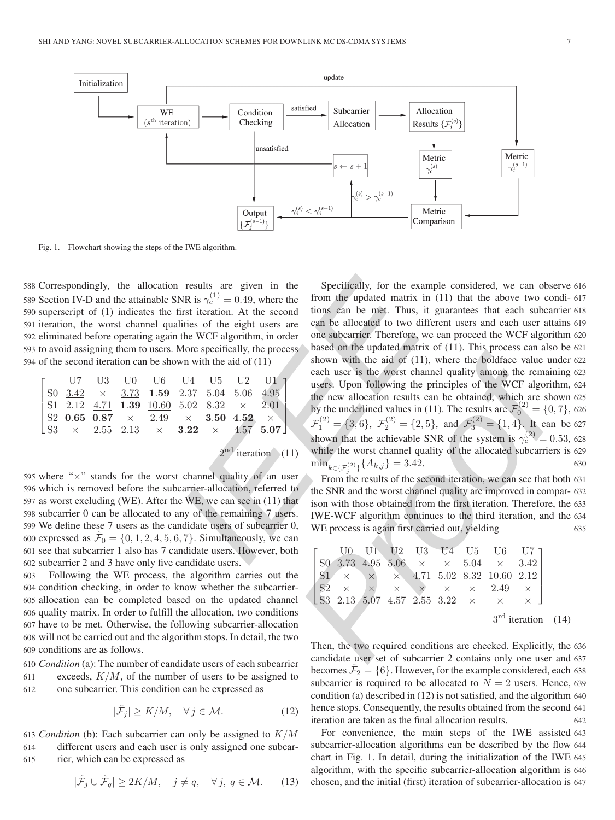

Fig. 1. Flowchart showing the steps of the IWE algorithm.

 Correspondingly, the allocation results are given in the 589 Section IV-D and the attainable SNR is  $\gamma_c^{(1)} = 0.49$ , where the superscript of (1) indicates the first iteration. At the second iteration, the worst channel qualities of the eight users are eliminated before operating again the WCF algorithm, in order to avoid assigning them to users. More specifically, the process of the second iteration can be shown with the aid of (11)

|  |  | r U7 U3 U0 U6 U4 U5 U2 U1 1                                                                                                 |  |  |  |
|--|--|-----------------------------------------------------------------------------------------------------------------------------|--|--|--|
|  |  | $\begin{array}{ rcl } \hline \text{SO} & 3.42 \times & 3.73 & \textbf{1.59} & 2.37 & 5.04 & 5.06 & 4.95 \hline \end{array}$ |  |  |  |
|  |  | $\begin{bmatrix} S1 & 2.12 & \underline{4.71} & 1.39 & \underline{10.60} & 5.02 & 8.32 & \times \ \end{bmatrix}$            |  |  |  |
|  |  |                                                                                                                             |  |  |  |
|  |  | $\begin{bmatrix} S3 & \times & 2.55 & 2.13 & \times & 3.22 & \times & 4.57 & 5.07 \end{bmatrix}$                            |  |  |  |
|  |  |                                                                                                                             |  |  |  |

 $2<sup>nd</sup>$  iteration (11)

 where " ×" stands for the worst channel quality of an user which is removed before the subcarrier-allocation, referred to as worst excluding (WE). After the WE, we can see in (11) that subcarrier 0 can be allocated to any of the remaining 7 users. We define these 7 users as the candidate users of subcarrier 0, 600 expressed as  $\tilde{\mathcal{F}}_0 = \{0, 1, 2, 4, 5, 6, 7\}$ . Simultaneously, we can see that subcarrier 1 also has 7 candidate users. However, both subcarrier 2 and 3 have only five candidate users.

 Following the WE process, the algorithm carries out the condition checking, in order to know whether the subcarrier- allocation can be completed based on the updated channel quality matrix. In order to fulfill the allocation, two conditions have to be met. Otherwise, the following subcarrier-allocation will not be carried out and the algorithm stops. In detail, the two conditions are as follows.

610 *Condition* (a): The number of candidate users of each subcarrier 611 exceeds,  $K/M$ , of the number of users to be assigned to 612 one subcarrier. This condition can be expressed as

$$
|\tilde{\mathcal{F}}_j| \ge K/M, \quad \forall j \in \mathcal{M}.
$$
 (12)

613 *Condition* (b): Each subcarrier can only be assigned to  $K/M$ 614 different users and each user is only assigned one subcar-615 rier, which can be expressed as

$$
|\tilde{\mathcal{F}}_j \cup \tilde{\mathcal{F}}_q| \ge 2K/M, \quad j \ne q, \quad \forall j, q \in \mathcal{M}.
$$
 (13)

results are given in the Specifically, for the example considered, we can observe<br>
NR is  $\gamma_c^{(1)} = 0.49$ , where the from the updated matrix in (11) that the above two condi-<br>
linits iteration. At the second tions can be u Specifically, for the example considered, we can observe 616 from the updated matrix in (11) that the above two condi- 617 tions can be met. Thus, it guarantees that each subcarrier 618 can be allocated to two different users and each user attains 619 one subcarrier. Therefore, we can proceed the WCF algorithm 620 based on the updated matrix of (11). This process can also be 621 shown with the aid of (11), where the boldface value under 622 each user is the worst channel quality among the remaining 623 users. Upon following the principles of the WCF algorithm, 624 the new allocation results can be obtained, which are shown 625 by the underlined values in (11). The results are  $\mathcal{F}_0^{(2)} = \{0, 7\}$ , 626  $\mathcal{F}_1^{(2)} = \{3, 6\}, \ \mathcal{F}_2^{(2)} = \{2, 5\}, \text{ and } \mathcal{F}_3^{(2)} = \{1, 4\}.$  It can be 627 shown that the achievable SNR of the system is  $\gamma_c^{(2)} = 0.53$ , 628 while the worst channel quality of the allocated subcarriers is 629  $\min_{k \in {\{\mathcal{F}_j^{(2)}\}}} \{A_{k,j}\} = 3.42$ . 630

From the results of the second iteration, we can see that both 631 the SNR and the worst channel quality are improved in compar- 632 ison with those obtained from the first iteration. Therefore, the 633 IWE-WCF algorithm continues to the third iteration, and the 634 WE process is again first carried out, yielding 635

$$
\begin{bmatrix}\n00 & 01 & 02 & 03 & 04 & 05 & 06 & 07 \\
80 & 3.73 & 4.95 & 5.06 & \times & \times & 5.04 & \times & 3.42 \\
81 & \times & \times & \times & 4.71 & 5.02 & 8.32 & 10.60 & 2.12 \\
82 & \times & \times & \times & \times & \times & \times & 2.49 & \times \\
83 & 2.13 & 5.07 & 4.57 & 2.55 & 3.22 & \times & \times & \times\n\end{bmatrix}
$$
\n3<sup>rd</sup> iteration (14)

Then, the two required conditions are checked. Explicitly, the 636 candidate user set of subcarrier 2 contains only one user and 637 becomes  $\tilde{\mathcal{F}}_2 = \{6\}$ . However, for the example considered, each 638 subcarrier is required to be allocated to  $N = 2$  users. Hence, 639 condition (a) described in (12) is not satisfied, and the algorithm 640 hence stops. Consequently, the results obtained from the second 641 iteration are taken as the final allocation results. 642

For convenience, the main steps of the IWE assisted 643 subcarrier-allocation algorithms can be described by the flow 644 chart in Fig. 1. In detail, during the initialization of the IWE 645 algorithm, with the specific subcarrier-allocation algorithm is 646 chosen, and the initial (first) iteration of subcarrier-allocation is 647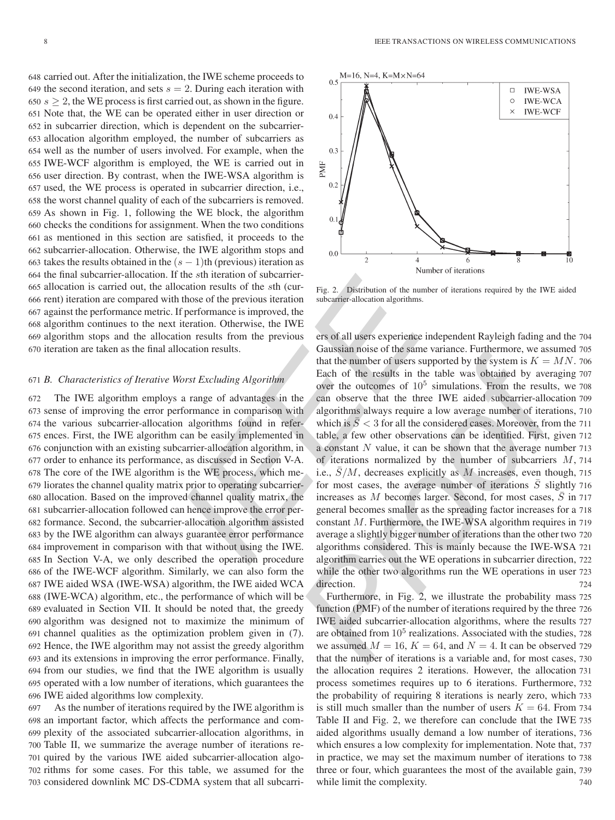carried out. After the initialization, the IWE scheme proceeds to 649 the second iteration, and sets  $s = 2$ . During each iteration with  $s \geq 2$ , the WE process is first carried out, as shown in the figure. Note that, the WE can be operated either in user direction or in subcarrier direction, which is dependent on the subcarrier- allocation algorithm employed, the number of subcarriers as well as the number of users involved. For example, when the IWE-WCF algorithm is employed, the WE is carried out in user direction. By contrast, when the IWE-WSA algorithm is used, the WE process is operated in subcarrier direction, i.e., the worst channel quality of each of the subcarriers is removed. As shown in Fig. 1, following the WE block, the algorithm checks the conditions for assignment. When the two conditions as mentioned in this section are satisfied, it proceeds to the subcarrier-allocation. Otherwise, the IWE algorithm stops and 663 takes the results obtained in the  $(s - 1)$ th (previous) iteration as the final subcarrier-allocation. If the sth iteration of subcarrier- allocation is carried out, the allocation results of the sth (cur- rent) iteration are compared with those of the previous iteration against the performance metric. If performance is improved, the algorithm continues to the next iteration. Otherwise, the IWE algorithm stops and the allocation results from the previous iteration are taken as the final allocation results.

#### 671 *B. Characteristics of Iterative Worst Excluding Algorithm*

 The IWE algorithm employs a range of advantages in the sense of improving the error performance in comparison with the various subcarrier-allocation algorithms found in refer- ences. First, the IWE algorithm can be easily implemented in conjunction with an existing subcarrier-allocation algorithm, in order to enhance its performance, as discussed in Section V-A. The core of the IWE algorithm is the WE process, which me- liorates the channel quality matrix prior to operating subcarrier- allocation. Based on the improved channel quality matrix, the subcarrier-allocation followed can hence improve the error per- formance. Second, the subcarrier-allocation algorithm assisted by the IWE algorithm can always guarantee error performance improvement in comparison with that without using the IWE. In Section V-A, we only described the operation procedure of the IWE-WCF algorithm. Similarly, we can also form the IWE aided WSA (IWE-WSA) algorithm, the IWE aided WCA (IWE-WCA) algorithm, etc., the performance of which will be evaluated in Section VII. It should be noted that, the greedy algorithm was designed not to maximize the minimum of channel qualities as the optimization problem given in (7). Hence, the IWE algorithm may not assist the greedy algorithm and its extensions in improving the error performance. Finally, from our studies, we find that the IWE algorithm is usually operated with a low number of iterations, which guarantees the IWE aided algorithms low complexity.

 As the number of iterations required by the IWE algorithm is an important factor, which affects the performance and com- plexity of the associated subcarrier-allocation algorithms, in Table II, we summarize the average number of iterations re- quired by the various IWE aided subcarrier-allocation algo- rithms for some cases. For this table, we assumed for the considered downlink MC DS-CDMA system that all subcarri-



Fig. 2. Distribution of the number of iterations required by the IWE aided subcarrier-allocation algorithms.

S –  $21$ (it previous) breation of subcarries<br>
or the solution of subcarries<br>
order the solution of subcarries<br>
order these of the previous iteration subseries allocation algorithms.<br>
The proof of the subcombination of the ers of all users experience independent Rayleigh fading and the 704 Gaussian noise of the same variance. Furthermore, we assumed 705 that the number of users supported by the system is  $K = MN$ . 706 Each of the results in the table was obtained by averaging 707 over the outcomes of  $10^5$  simulations. From the results, we 708 can observe that the three IWE aided subcarrier-allocation 709 algorithms always require a low average number of iterations, 710 which is  $\overline{S}$  < 3 for all the considered cases. Moreover, from the 711 table, a few other observations can be identified. First, given 712 a constant N value, it can be shown that the average number 713 of iterations normalized by the number of subcarriers M , 714 i.e.,  $\bar{S}/M$ , decreases explicitly as M increases, even though, 715 for most cases, the average number of iterations  $\overline{S}$  slightly 716 increases as M becomes larger. Second, for most cases,  $\overline{S}$  in 717 general becomes smaller as the spreading factor increases for a 718 constant M. Furthermore, the IWE-WSA algorithm requires in 719 average a slightly bigger number of iterations than the other two 720 algorithms considered. This is mainly because the IWE-WSA 721 algorithm carries out the WE operations in subcarrier direction, 722 while the other two algorithms run the WE operations in user 723 direction. 724

Furthermore, in Fig. 2, we illustrate the probability mass 725 function (PMF) of the number of iterations required by the three 726 IWE aided subcarrier-allocation algorithms, where the results 727 are obtained from  $10^5$  realizations. Associated with the studies, 728 we assumed  $M = 16$ ,  $K = 64$ , and  $N = 4$ . It can be observed 729 that the number of iterations is a variable and, for most cases, 730 the allocation requires 2 iterations. However, the allocation 731 process sometimes requires up to 6 iterations. Furthermore, 732 the probability of requiring 8 iterations is nearly zero, which 733 is still much smaller than the number of users  $K = 64$ . From 734 Table II and Fig. 2, we therefore can conclude that the IWE 735 aided algorithms usually demand a low number of iterations, 736 which ensures a low complexity for implementation. Note that, 737 in practice, we may set the maximum number of iterations to 738 three or four, which guarantees the most of the available gain, 739 while limit the complexity. 740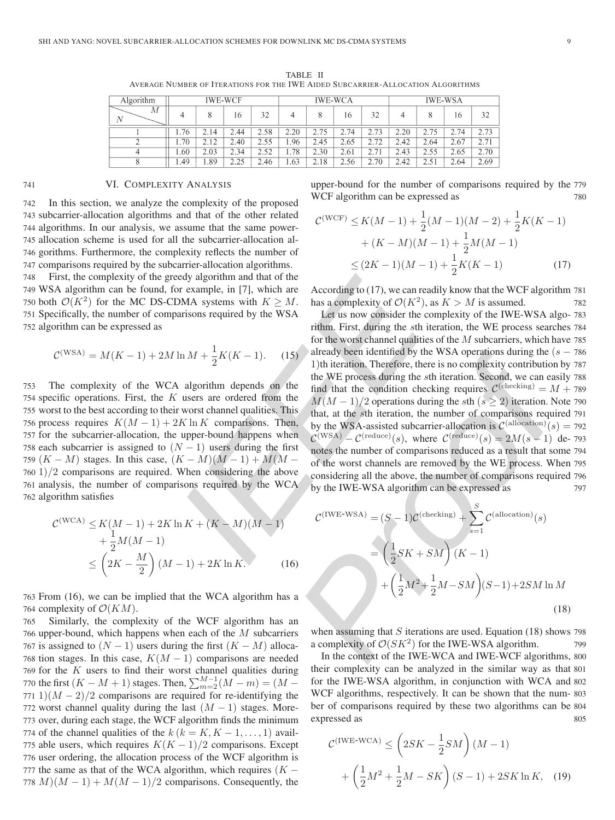| Algorithm | <b>IWE-WCF</b> |      |      | <b>IWE-WCA</b> |      |      |      | <b>IWE-WSA</b> |      |      |      |      |
|-----------|----------------|------|------|----------------|------|------|------|----------------|------|------|------|------|
| М<br>N    | $\overline{4}$ | 8    | 16   | 32             | 4    | 8    | 16   | 32             | 4    |      | 16   | 32   |
|           | 76             | 2.14 | 2.44 | 2.58           | 2.20 | 2.75 | 74   | 2.73           | 2.20 | 2.75 | 2.74 | 2.73 |
|           | 1.70           | 2.12 | 2.40 | 2.55           | 1.96 | 2.45 | 2.65 | 2.72           | 2.42 | 2.64 | 2.67 | 2.71 |
|           | .60            | 2.03 | 2.34 | 2.52           | 1.78 | 2.30 | 2.61 | $2.7^{\circ}$  | 2.43 | 2.55 | 2.65 | 2.70 |
|           | .49            | .89  | 2.25 | 2.46           | .63  | 2.18 | 2.56 | 2.70           | 2.42 | 2.51 | 2.64 | 2.69 |

TABLE II AVERAGE NUMBER OF ITERATIONS FOR THE IWE AIDED SUBCARRIER-ALLOCATION ALGORITHMS

#### 741 VI. COMPLEXITY ANALYSIS

 In this section, we analyze the complexity of the proposed subcarrier-allocation algorithms and that of the other related algorithms. In our analysis, we assume that the same power- allocation scheme is used for all the subcarrier-allocation al- gorithms. Furthermore, the complexity reflects the number of comparisons required by the subcarrier-allocation algorithms.

 First, the complexity of the greedy algorithm and that of the WSA algorithm can be found, for example, in [7], which are 750 both  $\mathcal{O}(K^2)$  for the MC DS-CDMA systems with  $K \geq M$ . Specifically, the number of comparisons required by the WSA algorithm can be expressed as

$$
C^{(WSA)} = M(K-1) + 2M \ln M + \frac{1}{2}K(K-1). \tag{15}
$$

 The complexity of the WCA algorithm depends on the 754 specific operations. First, the  $K$  users are ordered from the worst to the best according to their worst channel qualities. This 756 process requires  $K(M-1) + 2K \ln K$  comparisons. Then, for the subcarrier-allocation, the upper-bound happens when 758 each subcarrier is assigned to  $(N-1)$  users during the first  $(K - M)$  stages. In this case,  $(K - M)(M - 1) + M(M -$  1) / 2 comparisons are required. When considering the above analysis, the number of comparisons required by the WCA algorithm satisfies

$$
\mathcal{C}^{(\text{WCA})} \le K(M-1) + 2K \ln K + (K - M)(M - 1) \n+ \frac{1}{2}M(M - 1) \n\le \left(2K - \frac{M}{2}\right)(M - 1) + 2K \ln K.
$$
\n(16)

763 From (16), we can be implied that the WCA algorithm has a 764 complexity of  $\mathcal{O}(KM)$ .

765 Similarly, the complexity of the WCF algorithm has an 766 upper-bound, which happens when each of the M subcarriers 767 is assigned to  $(N-1)$  users during the first  $(K-M)$  alloca-768 tion stages. In this case,  $K(M-1)$  comparisons are needed  $769$  for the  $K$  users to find their worst channel qualities during 770 the first  $(K - M + 1)$  stages. Then,  $\sum_{m=2}^{M-1} (M - m) = (M 771 \; 1 \; (M-2)/2$  comparisons are required for re-identifying the 772 worst channel quality during the last  $(M - 1)$  stages. More-773 over, during each stage, the WCF algorithm finds the minimum 774 of the channel qualities of the  $k (k = K, K - 1, \ldots, 1)$  avail-775 able users, which requires  $K(K-1)/2$  comparisons. Except 776 user ordering, the allocation process of the WCF algorithm is 777 the same as that of the WCA algorithm, which requires  $(K -$ 778  $M$ ) $(M-1)$  +  $M(M-1)/2$  comparisons. Consequently, the

upper-bound for the number of comparisons required by the 779 WCF algorithm can be expressed as  $780$ 

$$
\mathcal{C}^{(\text{WCF})} \le K(M-1) + \frac{1}{2}(M-1)(M-2) + \frac{1}{2}K(K-1) + (K-M)(M-1) + \frac{1}{2}M(M-1) \le (2K-1)(M-1) + \frac{1}{2}K(K-1)
$$
 (17)

According to (17), we can readily know that the WCF algorithm 781 has a complexity of  $\mathcal{O}(K^2)$ , as  $K > M$  is assumed. 782

arised and that of the ME measuring the same of  $(2K-1)(M-1) + \frac{1}{2}K(K-1)$  (17)<br>
and algorithm and that of the<br>
or example, in [7], which are According to (17), we can readily know that the WCF algorithm<br>
MMA systems with Let us now consider the complexity of the IWE-WSA algo- 783 rithm. First, during the sth iteration, the WE process searches 784 for the worst channel qualities of the  $M$  subcarriers, which have 785 already been identified by the WSA operations during the  $(s - 786)$ 1)th iteration. Therefore, there is no complexity contribution by 787 the WE process during the sth iteration. Second, we can easily 788 find that the condition checking requires  $C^{(\text{checking})} = M + 789$  $M(M-1)/2$  operations during the sth  $(s \ge 2)$  iteration. Note 790 that, at the sth iteration, the number of comparisons required 791 by the WSA-assisted subcarrier-allocation is  $\mathcal{C}^{(\text{allocation})}(s) = 792$  $\mathcal{C}^{(WSA)} - \mathcal{C}^{(reduce)}(s)$ , where  $\mathcal{C}^{(reduce)}(s) = 2M(s-1)$  de-793 notes the number of comparisons reduced as a result that some 794 of the worst channels are removed by the WE process. When 795 considering all the above, the number of comparisons required 796 by the IWE-WSA algorithm can be expressed as  $797$ 

$$
\mathcal{C}^{(\text{IWE-WSA})} = (S-1)\mathcal{C}^{(\text{checking})} + \sum_{s=1}^{S} \mathcal{C}^{(\text{allocation})}(s)
$$

$$
= \left(\frac{1}{2}SK + SM\right)(K-1)
$$

$$
+ \left(\frac{1}{2}M^2 + \frac{1}{2}M - SM\right)(S-1) + 2SM \ln M
$$
(18)

when assuming that  $S$  iterations are used. Equation (18) shows 798 a complexity of  $\mathcal{O}(SK^2)$  for the IWE-WSA algorithm.  $\qquad \qquad$  799

In the context of the IWE-WCA and IWE-WCF algorithms, 800 their complexity can be analyzed in the similar way as that 801 for the IWE-WSA algorithm, in conjunction with WCA and 802 WCF algorithms, respectively. It can be shown that the num- 803 ber of comparisons required by these two algorithms can be 804 expressed as 805

$$
\mathcal{C}^{(\text{IWE-WCA})} \le \left(2SK - \frac{1}{2}SM\right)(M - 1) + \left(\frac{1}{2}M^2 + \frac{1}{2}M - SK\right)(S - 1) + 2SK \ln K, \quad (19)
$$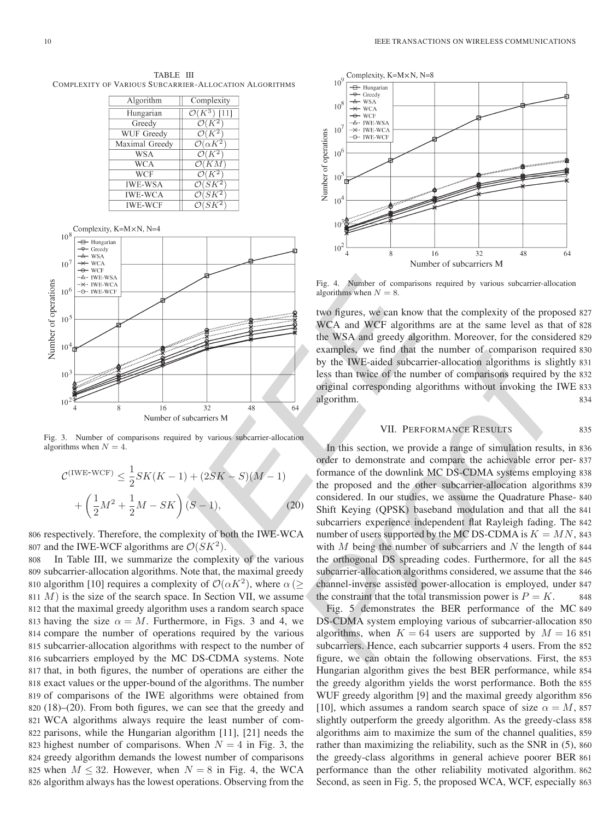TABLE III COMPLEXITY OF VARIOUS SUBCARRIER-ALLOCATION ALGORITHMS

| Algorithm      | Complexity                    |
|----------------|-------------------------------|
| Hungarian      | $\mathcal{O}(K^3)$ [11]       |
| Greedy         | $\mathcal{O}(K^2)$            |
| WUF Greedy     | $\mathcal{O}(K^2)$            |
| Maximal Greedy | $\mathcal{O}(\alpha K^2)$     |
| <b>WSA</b>     | $\overline{\mathcal{O}(K^2)}$ |
| <b>WCA</b>     | $\overline{\mathcal{O}(KM)}$  |
| WCF            | $\overline{\mathcal{O}}(K^2)$ |
| <b>IWE-WSA</b> | $\mathcal{O}(SK^2$            |
| <b>IWE-WCA</b> | $\overline{\mathcal{O}(SK^2}$ |
| IWE-WCF        | $C$ ( $\leq K^2$              |



Fig. 3. Number of comparisons required by various subcarrier-allocation algorithms when  $N = 4$ .

$$
\mathcal{C}^{\text{(IWE-WCF)}} \le \frac{1}{2} SK(K-1) + (2SK - S)(M - 1) + \left(\frac{1}{2}M^2 + \frac{1}{2}M - SK\right)(S - 1),\tag{20}
$$

806 respectively. Therefore, the complexity of both the IWE-WCA 807 and the IWE-WCF algorithms are  $\mathcal{O}(SK^2)$ .

 In Table III, we summarize the complexity of the various subcarrier-allocation algorithms. Note that, the maximal greedy 810 algorithm [10] requires a complexity of  $\mathcal{O}(\alpha K^2)$ , where  $\alpha \geq$   $M$ ) is the size of the search space. In Section VII, we assume that the maximal greedy algorithm uses a random search space 813 having the size  $\alpha = M$ . Furthermore, in Figs. 3 and 4, we compare the number of operations required by the various subcarrier-allocation algorithms with respect to the number of subcarriers employed by the MC DS-CDMA systems. Note that, in both figures, the number of operations are either the exact values or the upper-bound of the algorithms. The number of comparisons of the IWE algorithms were obtained from (18)–(20). From both figures, we can see that the greedy and WCA algorithms always require the least number of com- parisons, while the Hungarian algorithm [11], [21] needs the 823 highest number of comparisons. When  $N = 4$  in Fig. 3, the greedy algorithm demands the lowest number of comparisons 825 when  $M \leq 32$ . However, when  $N = 8$  in Fig. 4, the WCA algorithm always has the lowest operations. Observing from the



Fig. 4. Number of comparisons required by various subcarrier-allocation algorithms when  $N = 8$ .

two figures, we can know that the complexity of the proposed 827 WCA and WCF algorithms are at the same level as that of 828 the WSA and greedy algorithm. Moreover, for the considered 829 examples, we find that the number of comparison required 830 by the IWE-aided subcarrier-allocation algorithms is slightly 831 less than twice of the number of comparisons required by the 832 original corresponding algorithms without invoking the IWE 833 algorithm. 834

#### VII. PERFORMANCE RESULTS 835

Number of subcarriers M<br>
Number of subcarriers M<br>
algorithms when  $N = 8$ <br>
two figures, we can know that the complexity of the propose<br>
with  $N \ge 8$ <br>
with and WCF algorithms are at the same level as that<br>
with we WSA and g In this section, we provide a range of simulation results, in 836 order to demonstrate and compare the achievable error per- 837 formance of the downlink MC DS-CDMA systems employing 838 the proposed and the other subcarrier-allocation algorithms 839 considered. In our studies, we assume the Quadrature Phase- 840 Shift Keying (QPSK) baseband modulation and that all the 841 subcarriers experience independent flat Rayleigh fading. The 842 number of users supported by the MC DS-CDMA is  $K = MN$ , 843 with  $M$  being the number of subcarriers and  $N$  the length of 844 the orthogonal DS spreading codes. Furthermore, for all the 845 subcarrier-allocation algorithms considered, we assume that the 846 channel-inverse assisted power-allocation is employed, under 847 the constraint that the total transmission power is  $P = K$ 848

Fig. 5 demonstrates the BER performance of the MC 849 DS-CDMA system employing various of subcarrier-allocation 850 algorithms, when  $K = 64$  users are supported by  $M = 16$  851 subcarriers. Hence, each subcarrier supports 4 users. From the 852 figure, we can obtain the following observations. First, the 853 Hungarian algorithm gives the best BER performance, while 854 the greedy algorithm yields the worst performance. Both the 855 WUF greedy algorithm [9] and the maximal greedy algorithm 856 [10], which assumes a random search space of size  $\alpha = M$ , 857 slightly outperform the greedy algorithm. As the greedy-class 858 algorithms aim to maximize the sum of the channel qualities, 859 rather than maximizing the reliability, such as the SNR in (5), 860 the greedy-class algorithms in general achieve poorer BER 861 performance than the other reliability motivated algorithm. 862 Second, as seen in Fig. 5, the proposed WCA, WCF, especially 863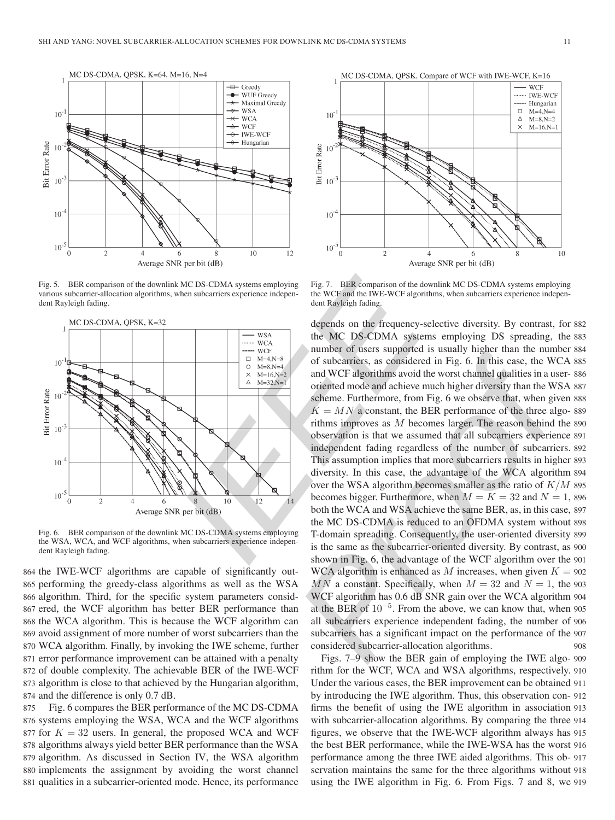

Fig. 5. BER comparison of the downlink MC DS-CDMA systems employing various subcarrier-allocation algorithms, when subcarriers experience independent Rayleigh fading.



Fig. 6. BER comparison of the downlink MC DS-CDMA systems employing the WSA, WCA, and WCF algorithms, when subcarriers experience independent Rayleigh fading.

 the IWE-WCF algorithms are capable of significantly out- performing the greedy-class algorithms as well as the WSA algorithm. Third, for the specific system parameters consid- ered, the WCF algorithm has better BER performance than the WCA algorithm. This is because the WCF algorithm can avoid assignment of more number of worst subcarriers than the WCA algorithm. Finally, by invoking the IWE scheme, further error performance improvement can be attained with a penalty of double complexity. The achievable BER of the IWE-WCF algorithm is close to that achieved by the Hungarian algorithm, and the difference is only 0.7 dB.

 Fig. 6 compares the BER performance of the MC DS-CDMA systems employing the WSA, WCA and the WCF algorithms 877 for  $K = 32$  users. In general, the proposed WCA and WCF algorithms always yield better BER performance than the WSA algorithm. As discussed in Section IV, the WSA algorithm implements the assignment by avoiding the worst channel qualities in a subcarrier-oriented mode. Hence, its performance



Fig. 7. BER comparison of the downlink MC DS-CDMA systems employing the WCF and the IWE-WCF algorithms, when subcarriers experience independent Rayleigh fading.

Arenay NATURE AND A<br>
MCDS-CDMA systems employing Fig. 7. BER comparison of the dominiums, when subcarriers experience independent<br>
then subcarriers experience independent in WCF (algorithms, when subcarriers experience in depends on the frequency-selective diversity. By contrast, for 882 the MC DS-CDMA systems employing DS spreading, the 883 number of users supported is usually higher than the number 884 of subcarriers, as considered in Fig. 6. In this case, the WCA 885 and WCF algorithms avoid the worst channel qualities in a user- 886 oriented mode and achieve much higher diversity than the WSA 887 scheme. Furthermore, from Fig. 6 we observe that, when given 888  $K = MN$  a constant, the BER performance of the three algo-889 rithms improves as M becomes larger. The reason behind the 890 observation is that we assumed that all subcarriers experience 891 independent fading regardless of the number of subcarriers. 892 This assumption implies that more subcarriers results in higher 893 diversity. In this case, the advantage of the WCA algorithm 894 over the WSA algorithm becomes smaller as the ratio of  $K/M$  895 becomes bigger. Furthermore, when  $M = K = 32$  and  $N = 1$ , 896 both the WCA and WSA achieve the same BER, as, in this case, 897 the MC DS-CDMA is reduced to an OFDMA system without 898 T-domain spreading. Consequently, the user-oriented diversity 899 is the same as the subcarrier-oriented diversity. By contrast, as 900 shown in Fig. 6, the advantage of the WCF algorithm over the 901 WCA algorithm is enhanced as M increases, when given  $K = 902$ MN a constant. Specifically, when  $M = 32$  and  $N = 1$ , the 903 WCF algorithm has 0.6 dB SNR gain over the WCA algorithm 904 at the BER of  $10^{-5}$ . From the above, we can know that, when 905 all subcarriers experience independent fading, the number of 906 subcarriers has a significant impact on the performance of the 907 considered subcarrier-allocation algorithms. 908

Figs. 7–9 show the BER gain of employing the IWE algo- 909 rithm for the WCF, WCA and WSA algorithms, respectively. 910 Under the various cases, the BER improvement can be obtained 911 by introducing the IWE algorithm. Thus, this observation con- 912 firms the benefit of using the IWE algorithm in association 913 with subcarrier-allocation algorithms. By comparing the three 914 figures, we observe that the IWE-WCF algorithm always has 915 the best BER performance, while the IWE-WSA has the worst 916 performance among the three IWE aided algorithms. This ob- 917 servation maintains the same for the three algorithms without 918 using the IWE algorithm in Fig. 6. From Figs. 7 and 8, we 919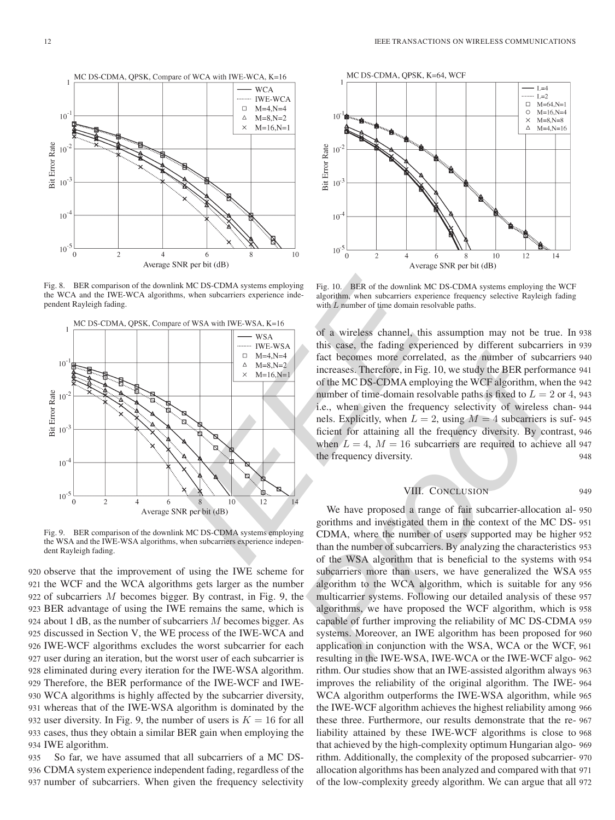

Fig. 8. BER comparison of the downlink MC DS-CDMA systems employing the WCA and the IWE-WCA algorithms, when subcarriers experience independent Rayleigh fading.



Fig. 9. BER comparison of the downlink MC DS-CDMA systems employing the WSA and the IWE-WSA algorithms, when subcarriers experience independent Rayleigh fading.

 observe that the improvement of using the IWE scheme for the WCF and the WCA algorithms gets larger as the number of subcarriers M becomes bigger. By contrast, in Fig. 9, the BER advantage of using the IWE remains the same, which is 924 about 1 dB, as the number of subcarriers  $M$  becomes bigger. As discussed in Section V, the WE process of the IWE-WCA and IWE-WCF algorithms excludes the worst subcarrier for each user during an iteration, but the worst user of each subcarrier is eliminated during every iteration for the IWE-WSA algorithm. Therefore, the BER performance of the IWE-WCF and IWE- WCA algorithms is highly affected by the subcarrier diversity, whereas that of the IWE-WSA algorithm is dominated by the 932 user diversity. In Fig. 9, the number of users is  $K = 16$  for all cases, thus they obtain a similar BER gain when employing the IWE algorithm.

935 So far, we have assumed that all subcarriers of a MC DS-936 CDMA system experience independent fading, regardless of the 937 number of subcarriers. When given the frequency selectivity



Fig. 10. BER of the downlink MC DS-CDMA systems employing the WCF algorithm, when subcarriers experience frequency selective Rayleigh fading with L number of time domain resolvable paths.

of a wireless channel, this assumption may not be true. In 938 this case, the fading experienced by different subcarriers in 939 fact becomes more correlated, as the number of subcarriers 940 increases. Therefore, in Fig. 10, we study the BER performance 941 of the MC DS-CDMA employing the WCF algorithm, when the 942 number of time-domain resolvable paths is fixed to  $L = 2$  or 4, 943 i.e., when given the frequency selectivity of wireless chan- 944 nels. Explicitly, when  $L = 2$ , using  $M = 4$  subcarriers is suf-945 ficient for attaining all the frequency diversity. By contrast, 946 when  $L = 4$ ,  $M = 16$  subcarriers are required to achieve all 947 the frequency diversity. 948

VIII. CONCLUSION 949

We not by the MC DS-CDMA systems employing the WOS-CDMA systems employing the WOS-CDMA systems employing the World with *E* under the dependent of the dependent of the systems of a wireless channel, this assumption may no We have proposed a range of fair subcarrier-allocation al- 950 gorithms and investigated them in the context of the MC DS- 951 CDMA, where the number of users supported may be higher 952 than the number of subcarriers. By analyzing the characteristics 953 of the WSA algorithm that is beneficial to the systems with 954 subcarriers more than users, we have generalized the WSA 955 algorithm to the WCA algorithm, which is suitable for any 956 multicarrier systems. Following our detailed analysis of these 957 algorithms, we have proposed the WCF algorithm, which is 958 capable of further improving the reliability of MC DS-CDMA 959 systems. Moreover, an IWE algorithm has been proposed for 960 application in conjunction with the WSA, WCA or the WCF, 961 resulting in the IWE-WSA, IWE-WCA or the IWE-WCF algo- 962 rithm. Our studies show that an IWE-assisted algorithm always 963 improves the reliability of the original algorithm. The IWE- 964 WCA algorithm outperforms the IWE-WSA algorithm, while 965 the IWE-WCF algorithm achieves the highest reliability among 966 these three. Furthermore, our results demonstrate that the re- 967 liability attained by these IWE-WCF algorithms is close to 968 that achieved by the high-complexity optimum Hungarian algo- 969 rithm. Additionally, the complexity of the proposed subcarrier- 970 allocation algorithms has been analyzed and compared with that 971 of the low-complexity greedy algorithm. We can argue that all 972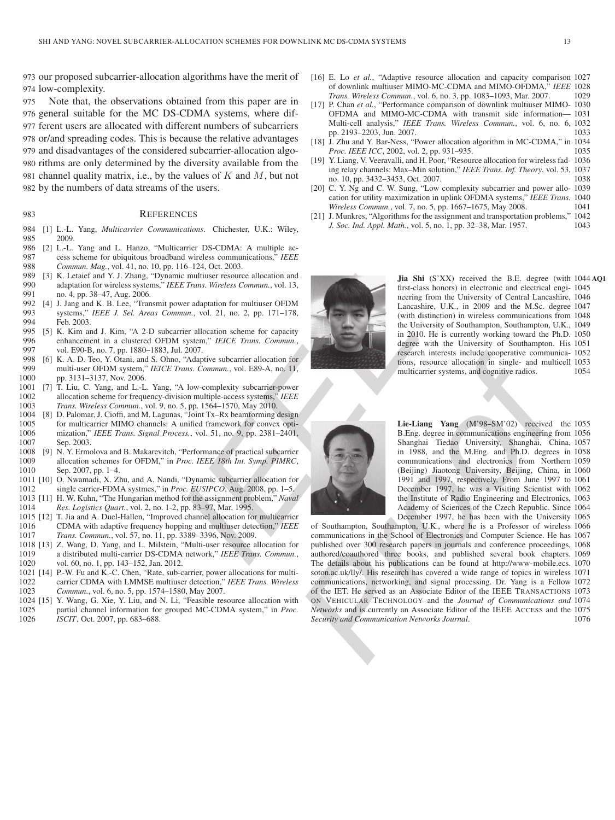973 our proposed subcarrier-allocation algorithms have the merit of 974 low-complexity.

 Note that, the observations obtained from this paper are in general suitable for the MC DS-CDMA systems, where dif- ferent users are allocated with different numbers of subcarriers or/and spreading codes. This is because the relative advantages and disadvantages of the considered subcarrier-allocation algo- rithms are only determined by the diversity available from the 981 channel quality matrix, i.e., by the values of  $K$  and  $M$ , but not by the numbers of data streams of the users.

#### **REFERENCES**

984 [1] L.-L. Yang, *Multicarrier Communications*. Chichester, U.K.: Wiley,

983

- 985 2009.<br>986 [2] L.-L. 986 [2] L.-L. Yang and L. Hanzo, "Multicarrier DS-CDMA: A multiple ac-<br>987 cess scheme for ubiquitous broadband wireless communications," IEEE 987 cess scheme for ubiquitous broadband wireless communications," *IEEE*
- 988 *Commun. Mag.*, vol. 41, no. 10, pp. 116–124, Oct. 2003. 989 [3] K. Letaief and Y. J. Zhang, "Dynamic multiuser resource allocation and adaptation for wireless systems," IEEE Trans. Wireless Commun., vol. 13,
- 990 adaptation for wireless systems," *IEEE Trans. Wireless Commun.*, vol. 13, no. 4, pp. 38–47, Aug. 2006.
- 992 [4] J. Jang and K. B. Lee, "Transmit power adaptation for multiuser OFDM<br>993 systems" *IFFE J. Sel. Areas Commun*, vol. 21, no. 2, nn. 171–178 993 systems," *IEEE J. Sel. Areas Commun.*, vol. 21, no. 2, pp. 171–178, 994 Feb. 2003.<br>995 [5] K. Kim at
- [5] K. Kim and J. Kim, "A 2-D subcarrier allocation scheme for capacity 996 enhancement in a clustered OFDM system," *IEICE Trans. Commun.* , 997 vol. E90-B, no. 7, pp. 1880–1883, Jul. 2007.<br>998 [6] K A D Teo Y Otani and S Ohno "Adap
- 998 [6] K. A. D. Teo, Y. Otani, and S. Ohno, "Adaptive subcarrier allocation for multi-user OFDM system," IEICE Trans. Commun., vol. E89-A, no. 11, 999 multi-user OFDM system," *IEICE Trans. Commun.*, vol. E89-A, no. 11, 1000 pp. 3131–3137, Nov. 2006. pp. 3131-3137, Nov. 2006.
- 1001 [7] T. Liu, C. Yang, and L.-L. Yang, "A low-complexity subcarrier-power 1002 allocation scheme for frequency-division multiple-access systems," *IEEE* 1003 *Trans. Wireless Commun.*, vol. 9, no. 5, pp. 1564–1570, May 2010.<br>1004 [8] D. Palomar, J. Cioffi, and M. Lagunas, "Joint Tx–Rx beamforming of
- D. Palomar, J. Cioffi, and M. Lagunas, "Joint Tx–Rx beamforming design 1005 for multicarrier MIMO channels: A unified framework for convex opti-1006 mization," *IEEE Trans. Signal Process.*, vol. 51, no. 9, pp. 2381–2401, Sep. 2003.
- 1008 [9] N. Y. Ermolova and B. Makarevitch, "Performance of practical subcarrier allocation schemes for OFDM," in *Proc. IEEE 18th Int. Symp. PIMRC*, 1009 allocation schemes for OFDM," in *Proc. IEEE 18th Int. Symp. PIMRC* , 1010 Sep. 2007, pp. 1–4.
- 1011 [10] O. Nwamadi, X. Zhu, and A. Nandi, "Dynamic subcarrier allocation for 1012 single carrier-FDMA systmes." in *Proc. EUSIPCO*. Aug. 2008, pp. 1–5. 1012 single carrier-FDMA systmes," in *Proc. EUSIPCO*, Aug. 2008, pp. 1–5.<br>1013 [11] H. W. Kuhn, "The Hungarian method for the assignment problem," Nava
- 1013 [11] H. W. Kuhn, "The Hungarian method for the assignment problem," *Naval* 1014 *Res. Logistics Quart.*, vol. 2, no. 1-2, pp. 83–97, Mar. 1995.
- 1015 [12] T. Jia and A. Duel-Hallen, "Improved channel allocation for multicarrier 1016 CDMA with adaptive frequency hopping and multiuser detection," *IEEE*
- 1017 *Trans. Commun.*, vol. 57, no. 11, pp. 3389–3396, Nov. 2009. Z. Wang, D. Yang, and L. Milstein, "Multi-user resource allocation for 1019 a distributed multi-carrier DS-CDMA network," *IEEE Trans. Commun.* , 1020 vol. 60, no. 1, pp. 143–152, Jan. 2012.
- 1021 [14] P.-W. Fu and K.-C. Chen, "Rate, sub-carrier, power allocations for multi-1022 carrier CDMA with LMMSE multiuser detection," *IEEE Trans. Wireless*
- 1023 *Commun.*, vol. 6, no. 5, pp. 1574–1580, May 2007. 1024 [15] Y. Wang, G. Xie, Y. Liu, and N. Li, "Feasible resource allocation with 1025 partial channel information for grouped MC-CDMA system," in *Proc.*
- partial channel information for grouped MC-CDMA system," in *Proc.* 1026 *ISCIT*, Oct. 2007, pp. 683–688.
- [16] E. Lo *et al.*, "Adaptive resource allocation and capacity comparison 1027 of downlink multiuser MIMO-MC-CDMA and MIMO-OFDMA," *IEEE* 1028 *Trans. Wireless Commun.*, vol. 6, no. 3, pp. 1083-1093, Mar. 2007.
- [17] P. Chan *et al.*, "Performance comparison of downlink multiuser MIMO- 1030 OFDMA and MIMO-MC-CDMA with transmit side information— 1031 Multi-cell analysis," *IEEE Trans. Wireless Commun.*, vol. 6, no. 6, 1032 pp. 2193–2203, Jun. 2007. 1033
- [18] J. Zhu and Y. Bar-Ness, "Power allocation algorithm in MC-CDMA," in 1034 *Proc. IEEE ICC*, 2002, vol. 2, pp. 931-935.
- [19] Y. Liang, V. Veeravalli, and H. Poor, "Resource allocation for wireless fad- 1036 ing relay channels: Max–Min solution," *IEEE Trans. Inf. Theory*, vol. 53, 1037 no. 10, pp. 3432–3453, Oct. 2007. 1038
- [20] C. Y. Ng and C. W. Sung, "Low complexity subcarrier and power allo- 1039 cation for utility maximization in uplink OFDMA systems," *IEEE Trans.* 1040 *Wireless Commun.*, vol. 7, no. 5, pp. 1667–1675, May 2008. 1041<br>*I* Munkres "Algorithms for the assignment and transportation problems" 1042
- [21] J. Munkres, "Algorithms for the assignment and transportation problems," *J. Soc. Ind. Appl. Math.*, vol. 5, no. 1, pp. 32–38, Mar. 1957. 1043



**Jia Shi** (S'XX) received the B.E. degree (with 1044 **AQ1** first-class honors) in electronic and electrical engi- 1045 neering from the University of Central Lancashire, 1046 Lancashire, U.K., in 2009 and the M.Sc. degree 1047 (with distinction) in wireless communications from 1048 the University of Southampton, Southampton, U.K., 1049 in 2010. He is currently working toward the Ph.D. 1050 degree with the University of Southampton. His 1051 research interests include cooperative communica- 1052 tions, resource allocation in single- and multicell 1053 multicarrier systems, and cognitive radios. 1054



**Lie-Liang Yang** (M'98–SM'02) received the 1055 B.Eng. degree in communications engineering from 1056 Shanghai Tiedao University, Shanghai, China, 1057 in 1988, and the M.Eng. and Ph.D. degrees in 1058 communications and electronics from Northern 1059 (Beijing) Jiaotong University, Beijing, China, in 1060 1991 and 1997, respectively. From June 1997 to 1061 December 1997, he was a Visiting Scientist with 1062 the Institute of Radio Engineering and Electronics, 1063 Academy of Sciences of the Czech Republic. Since 1064 December 1997, he has been with the University 1065

16 = 14 a, co. 2003.<br>
16 minimizer resource allocation and<br>
in minimizer resource allocation and<br>
in minimizer resource allocation and Form in the University of Central Lancashire,<br>
was advantage of Central Lancashire, th of Southampton, Southampton, U.K., where he is a Professor of wireless 1066 communications in the School of Electronics and Computer Science. He has 1067 published over 300 research papers in journals and conference proceedings, 1068 authored/coauthored three books, and published several book chapters. 1069 The details about his publications can be found at http://www-mobile.ecs. 1070 soton.ac.uk/lly/. His research has covered a wide range of topics in wireless 1071 communications, networking, and signal processing. Dr. Yang is a Fellow 1072 of the IET. He served as an Associate Editor of the IEEE TRANSACTIONS 1073 ON VEHICULAR TECHNOLOGY and the *Journal of Communications and* 1074 *Networks* and is currently an Associate Editor of the IEEE ACCESS and the 1075 *Security and Communication Networks Journal*. 1076